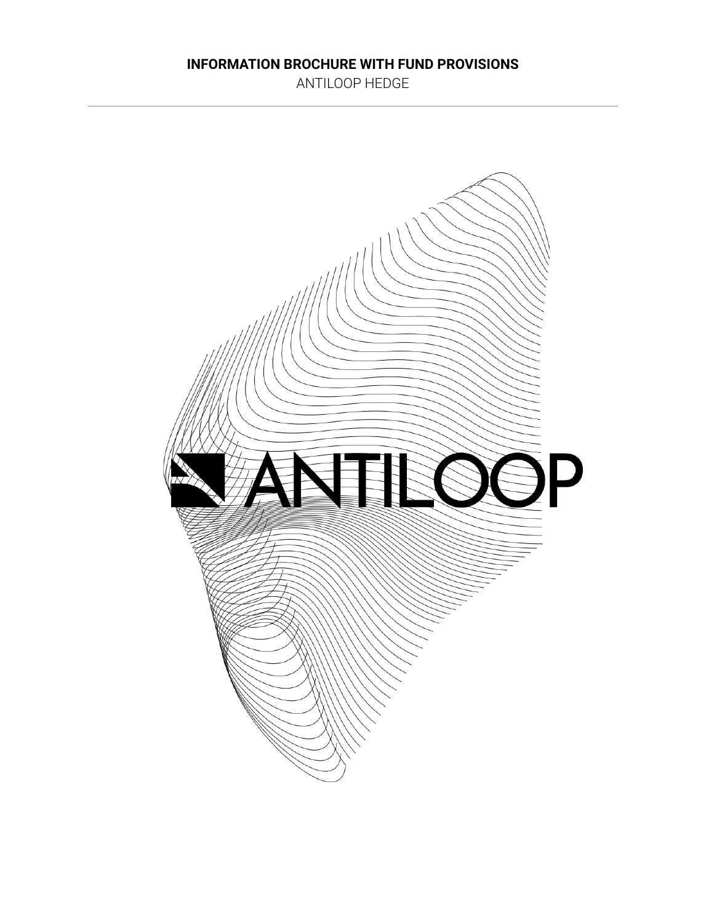### **INFORMATION BROCHURE WITH FUND PROVISIONS**

ANTILOOP HEDGE

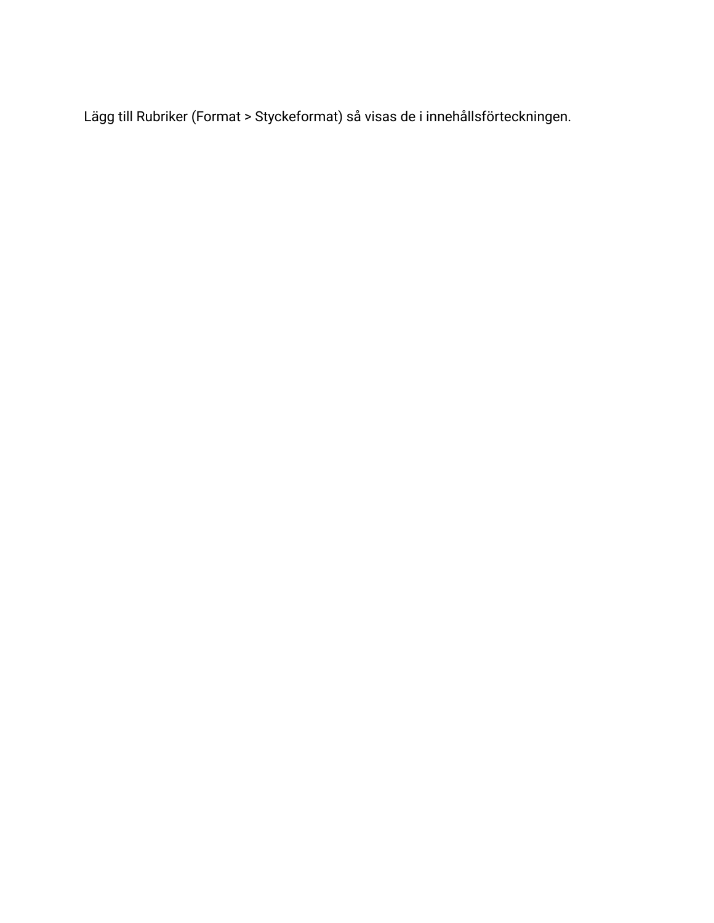Lägg till Rubriker (Format > Styckeformat) så visas de i innehållsförteckningen.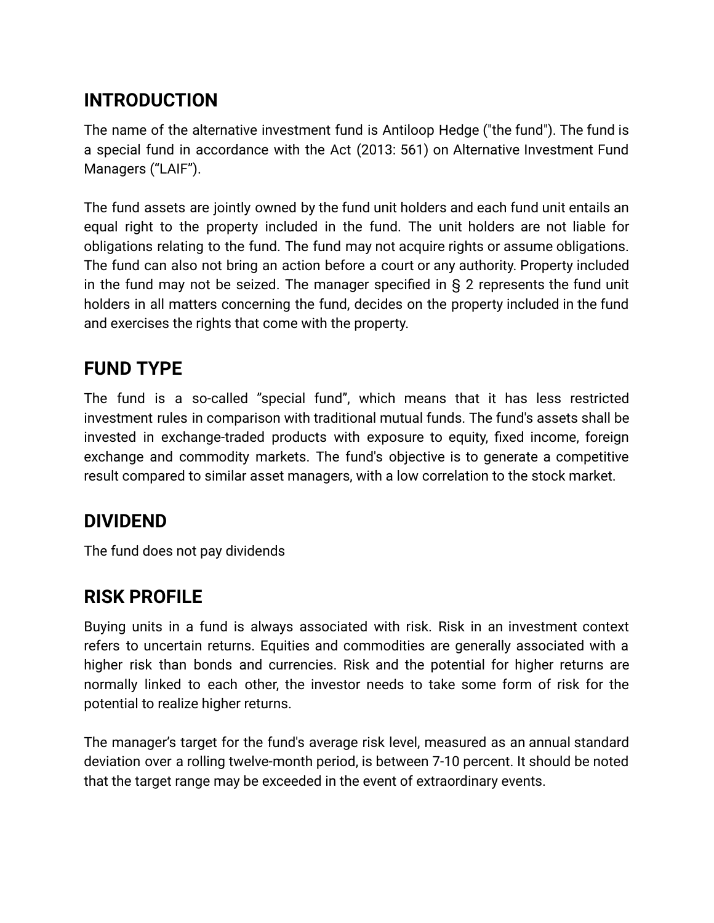# **INTRODUCTION**

The name of the alternative investment fund is Antiloop Hedge ("the fund"). The fund is a special fund in accordance with the Act (2013: 561) on Alternative Investment Fund Managers ("LAIF").

The fund assets are jointly owned by the fund unit holders and each fund unit entails an equal right to the property included in the fund. The unit holders are not liable for obligations relating to the fund. The fund may not acquire rights or assume obligations. The fund can also not bring an action before a court or any authority. Property included in the fund may not be seized. The manager specified in § 2 represents the fund unit holders in all matters concerning the fund, decides on the property included in the fund and exercises the rights that come with the property.

# **FUND TYPE**

The fund is a so-called "special fund", which means that it has less restricted investment rules in comparison with traditional mutual funds. The fund's assets shall be invested in exchange-traded products with exposure to equity, fixed income, foreign exchange and commodity markets. The fund's objective is to generate a competitive result compared to similar asset managers, with a low correlation to the stock market.

## **DIVIDEND**

The fund does not pay dividends

# **RISK PROFILE**

Buying units in a fund is always associated with risk. Risk in an investment context refers to uncertain returns. Equities and commodities are generally associated with a higher risk than bonds and currencies. Risk and the potential for higher returns are normally linked to each other, the investor needs to take some form of risk for the potential to realize higher returns.

The manager's target for the fund's average risk level, measured as an annual standard deviation over a rolling twelve-month period, is between 7-10 percent. It should be noted that the target range may be exceeded in the event of extraordinary events.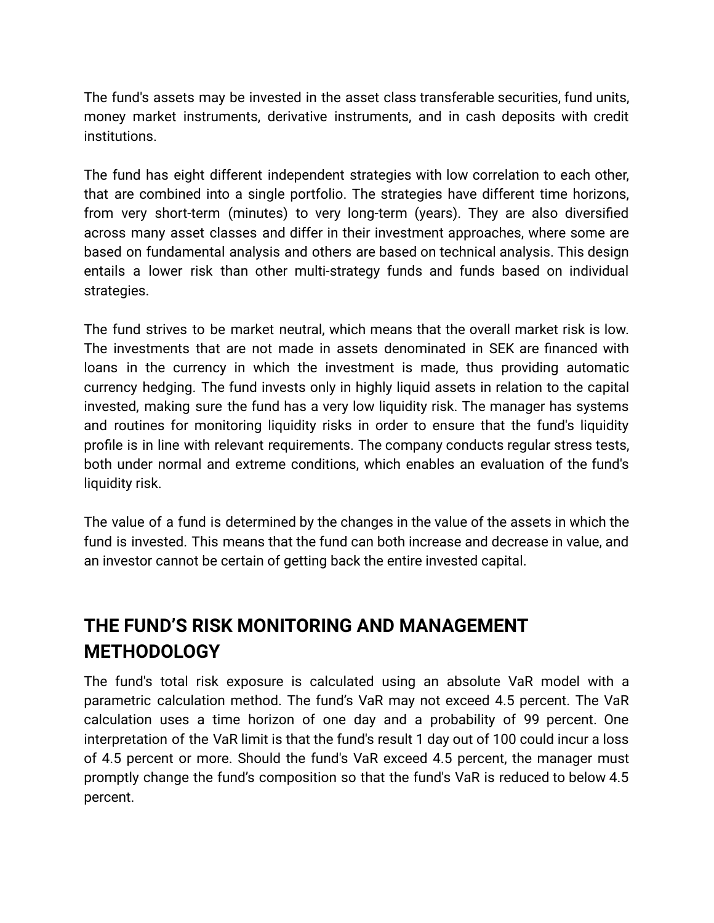The fund's assets may be invested in the asset class transferable securities, fund units, money market instruments, derivative instruments, and in cash deposits with credit institutions.

The fund has eight different independent strategies with low correlation to each other, that are combined into a single portfolio. The strategies have different time horizons, from very short-term (minutes) to very long-term (years). They are also diversified across many asset classes and differ in their investment approaches, where some are based on fundamental analysis and others are based on technical analysis. This design entails a lower risk than other multi-strategy funds and funds based on individual strategies.

The fund strives to be market neutral, which means that the overall market risk is low. The investments that are not made in assets denominated in SEK are financed with loans in the currency in which the investment is made, thus providing automatic currency hedging. The fund invests only in highly liquid assets in relation to the capital invested, making sure the fund has a very low liquidity risk. The manager has systems and routines for monitoring liquidity risks in order to ensure that the fund's liquidity profile is in line with relevant requirements. The company conducts regular stress tests, both under normal and extreme conditions, which enables an evaluation of the fund's liquidity risk.

The value of a fund is determined by the changes in the value of the assets in which the fund is invested. This means that the fund can both increase and decrease in value, and an investor cannot be certain of getting back the entire invested capital.

# **THE FUND'S RISK MONITORING AND MANAGEMENT METHODOLOGY**

The fund's total risk exposure is calculated using an absolute VaR model with a parametric calculation method. The fund's VaR may not exceed 4.5 percent. The VaR calculation uses a time horizon of one day and a probability of 99 percent. One interpretation of the VaR limit is that the fund's result 1 day out of 100 could incur a loss of 4.5 percent or more. Should the fund's VaR exceed 4.5 percent, the manager must promptly change the fund's composition so that the fund's VaR is reduced to below 4.5 percent.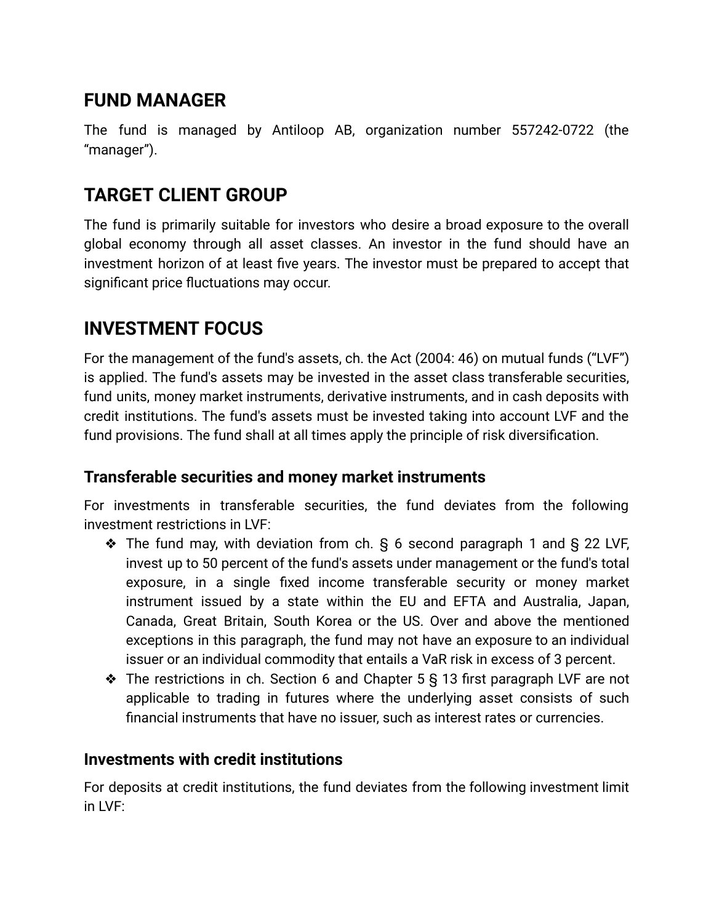# **FUND MANAGER**

The fund is managed by Antiloop AB, organization number 557242-0722 (the "manager").

# **TARGET CLIENT GROUP**

The fund is primarily suitable for investors who desire a broad exposure to the overall global economy through all asset classes. An investor in the fund should have an investment horizon of at least five years. The investor must be prepared to accept that significant price fluctuations may occur.

# **INVESTMENT FOCUS**

For the management of the fund's assets, ch. the Act (2004: 46) on mutual funds ("LVF") is applied. The fund's assets may be invested in the asset class transferable securities, fund units, money market instruments, derivative instruments, and in cash deposits with credit institutions. The fund's assets must be invested taking into account LVF and the fund provisions. The fund shall at all times apply the principle of risk diversification.

## **Transferable securities and money market instruments**

For investments in transferable securities, the fund deviates from the following investment restrictions in LVF:

- ❖ The fund may, with deviation from ch. § 6 second paragraph 1 and § 22 LVF, invest up to 50 percent of the fund's assets under management or the fund's total exposure, in a single fixed income transferable security or money market instrument issued by a state within the EU and EFTA and Australia, Japan, Canada, Great Britain, South Korea or the US. Over and above the mentioned exceptions in this paragraph, the fund may not have an exposure to an individual issuer or an individual commodity that entails a VaR risk in excess of 3 percent.
- ❖ The restrictions in ch. Section 6 and Chapter 5 § 13 first paragraph LVF are not applicable to trading in futures where the underlying asset consists of such financial instruments that have no issuer, such as interest rates or currencies.

### **Investments with credit institutions**

For deposits at credit institutions, the fund deviates from the following investment limit in LVF: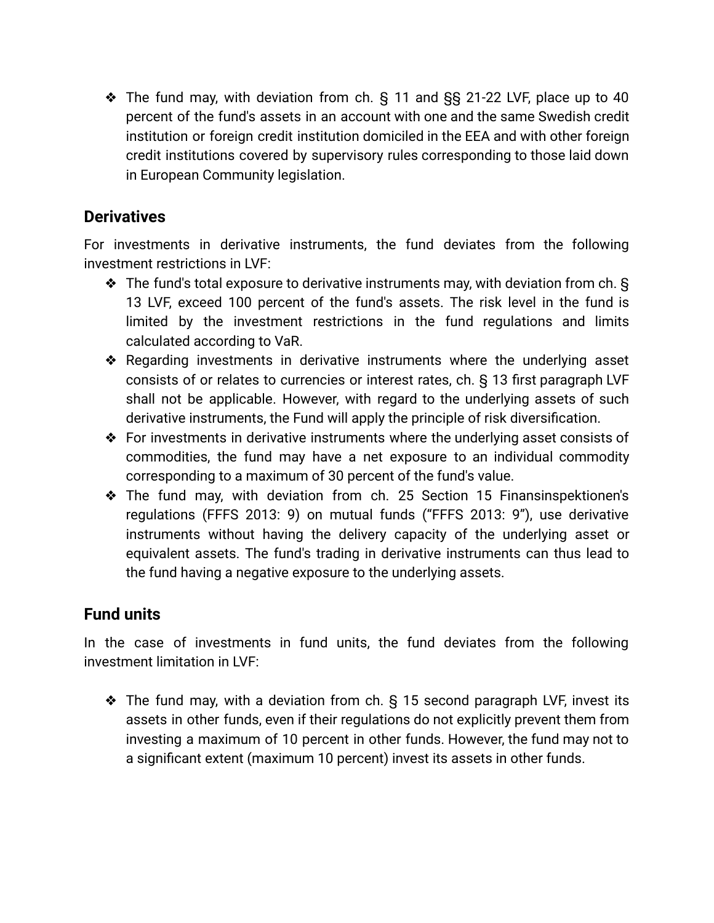❖ The fund may, with deviation from ch. § 11 and §§ 21-22 LVF, place up to 40 percent of the fund's assets in an account with one and the same Swedish credit institution or foreign credit institution domiciled in the EEA and with other foreign credit institutions covered by supervisory rules corresponding to those laid down in European Community legislation.

### **Derivatives**

For investments in derivative instruments, the fund deviates from the following investment restrictions in LVF:

- ❖ The fund's total exposure to derivative instruments may, with deviation from ch. § 13 LVF, exceed 100 percent of the fund's assets. The risk level in the fund is limited by the investment restrictions in the fund regulations and limits calculated according to VaR.
- ❖ Regarding investments in derivative instruments where the underlying asset consists of or relates to currencies or interest rates, ch. § 13 first paragraph LVF shall not be applicable. However, with regard to the underlying assets of such derivative instruments, the Fund will apply the principle of risk diversification.
- ❖ For investments in derivative instruments where the underlying asset consists of commodities, the fund may have a net exposure to an individual commodity corresponding to a maximum of 30 percent of the fund's value.
- ❖ The fund may, with deviation from ch. 25 Section 15 Finansinspektionen's regulations (FFFS 2013: 9) on mutual funds ("FFFS 2013: 9"), use derivative instruments without having the delivery capacity of the underlying asset or equivalent assets. The fund's trading in derivative instruments can thus lead to the fund having a negative exposure to the underlying assets.

## **Fund units**

In the case of investments in fund units, the fund deviates from the following investment limitation in LVF:

❖ The fund may, with a deviation from ch. § 15 second paragraph LVF, invest its assets in other funds, even if their regulations do not explicitly prevent them from investing a maximum of 10 percent in other funds. However, the fund may not to a significant extent (maximum 10 percent) invest its assets in other funds.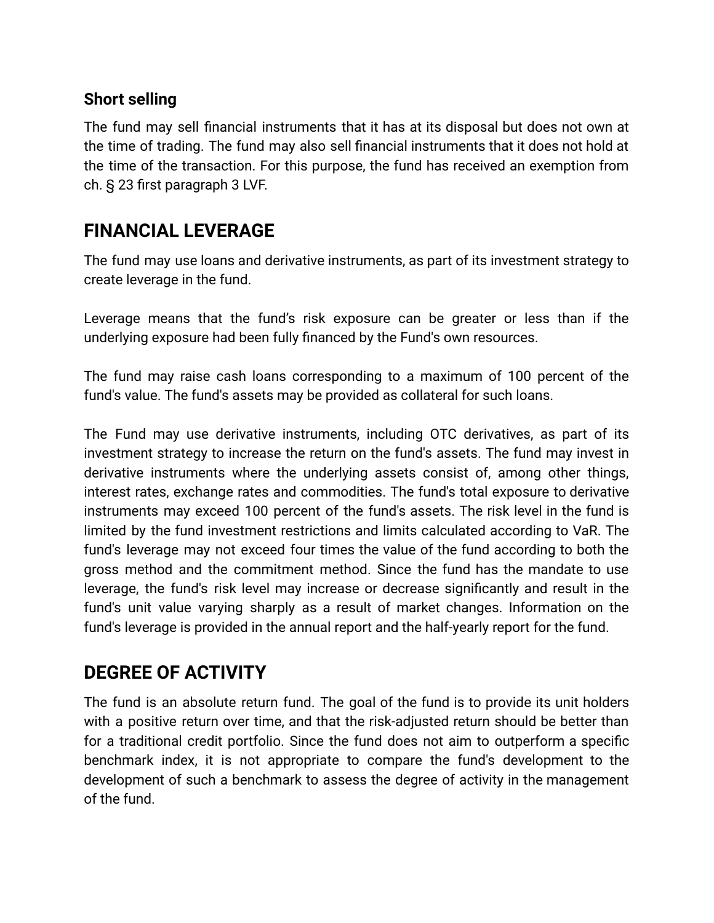### **Short selling**

The fund may sell financial instruments that it has at its disposal but does not own at the time of trading. The fund may also sell financial instruments that it does not hold at the time of the transaction. For this purpose, the fund has received an exemption from ch. § 23 first paragraph 3 LVF.

# **FINANCIAL LEVERAGE**

The fund may use loans and derivative instruments, as part of its investment strategy to create leverage in the fund.

Leverage means that the fund's risk exposure can be greater or less than if the underlying exposure had been fully financed by the Fund's own resources.

The fund may raise cash loans corresponding to a maximum of 100 percent of the fund's value. The fund's assets may be provided as collateral for such loans.

The Fund may use derivative instruments, including OTC derivatives, as part of its investment strategy to increase the return on the fund's assets. The fund may invest in derivative instruments where the underlying assets consist of, among other things, interest rates, exchange rates and commodities. The fund's total exposure to derivative instruments may exceed 100 percent of the fund's assets. The risk level in the fund is limited by the fund investment restrictions and limits calculated according to VaR. The fund's leverage may not exceed four times the value of the fund according to both the gross method and the commitment method. Since the fund has the mandate to use leverage, the fund's risk level may increase or decrease significantly and result in the fund's unit value varying sharply as a result of market changes. Information on the fund's leverage is provided in the annual report and the half-yearly report for the fund.

## **DEGREE OF ACTIVITY**

The fund is an absolute return fund. The goal of the fund is to provide its unit holders with a positive return over time, and that the risk-adjusted return should be better than for a traditional credit portfolio. Since the fund does not aim to outperform a specific benchmark index, it is not appropriate to compare the fund's development to the development of such a benchmark to assess the degree of activity in the management of the fund.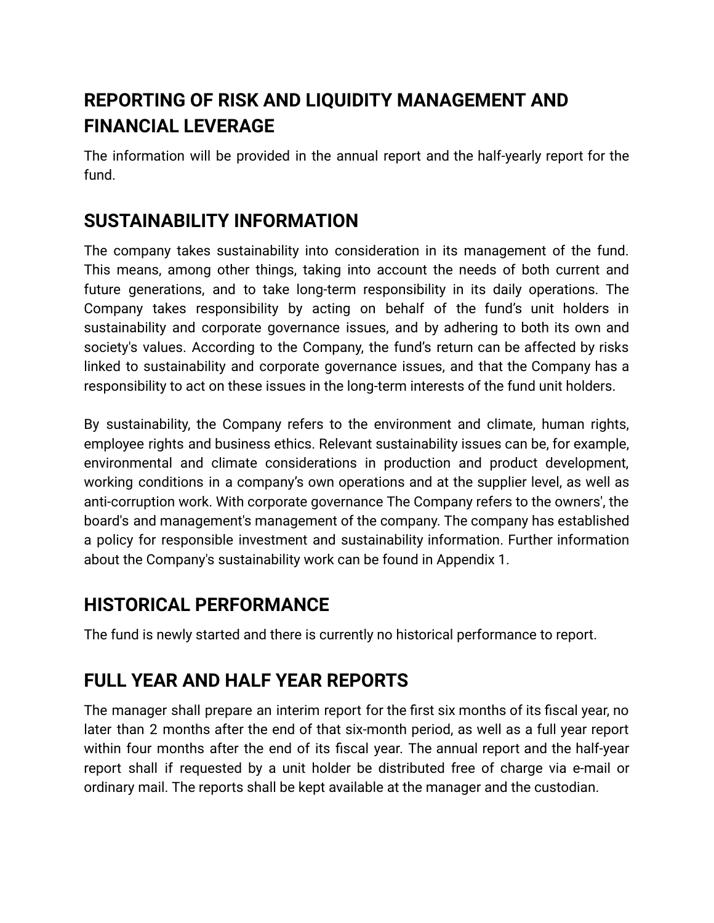# **REPORTING OF RISK AND LIQUIDITY MANAGEMENT AND FINANCIAL LEVERAGE**

The information will be provided in the annual report and the half-yearly report for the fund.

## **SUSTAINABILITY INFORMATION**

The company takes sustainability into consideration in its management of the fund. This means, among other things, taking into account the needs of both current and future generations, and to take long-term responsibility in its daily operations. The Company takes responsibility by acting on behalf of the fund's unit holders in sustainability and corporate governance issues, and by adhering to both its own and society's values. According to the Company, the fund's return can be affected by risks linked to sustainability and corporate governance issues, and that the Company has a responsibility to act on these issues in the long-term interests of the fund unit holders.

By sustainability, the Company refers to the environment and climate, human rights, employee rights and business ethics. Relevant sustainability issues can be, for example, environmental and climate considerations in production and product development, working conditions in a company's own operations and at the supplier level, as well as anti-corruption work. With corporate governance The Company refers to the owners', the board's and management's management of the company. The company has established a policy for responsible investment and sustainability information. Further information about the Company's sustainability work can be found in Appendix 1.

## **HISTORICAL PERFORMANCE**

The fund is newly started and there is currently no historical performance to report.

# **FULL YEAR AND HALF YEAR REPORTS**

The manager shall prepare an interim report for the first six months of its fiscal year, no later than 2 months after the end of that six-month period, as well as a full year report within four months after the end of its fiscal year. The annual report and the half-year report shall if requested by a unit holder be distributed free of charge via e-mail or ordinary mail. The reports shall be kept available at the manager and the custodian.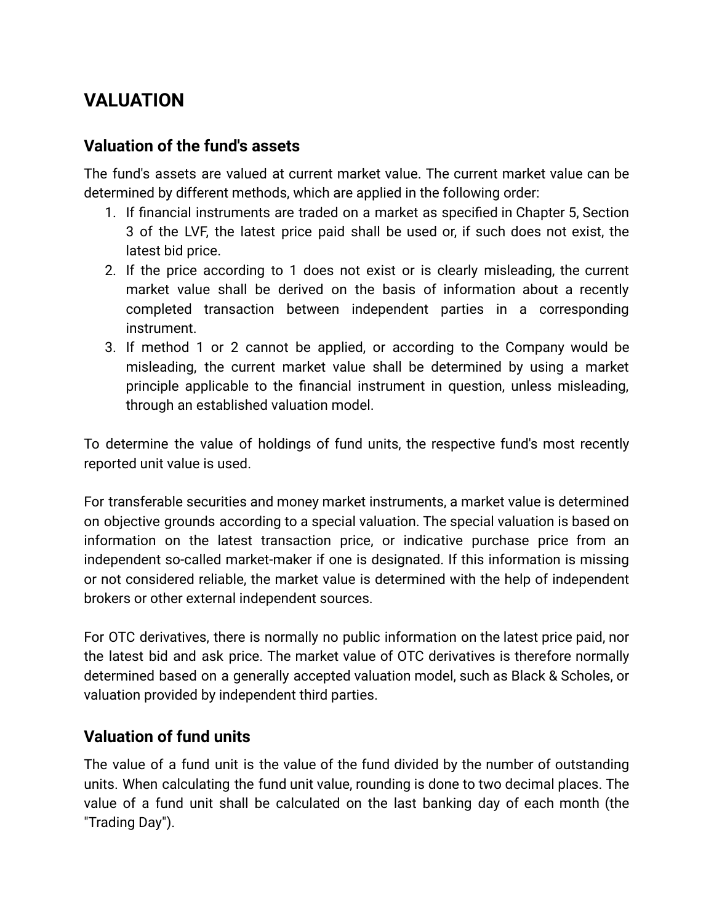# **VALUATION**

### **Valuation of the fund's assets**

The fund's assets are valued at current market value. The current market value can be determined by different methods, which are applied in the following order:

- 1. If financial instruments are traded on a market as specified in Chapter 5, Section 3 of the LVF, the latest price paid shall be used or, if such does not exist, the latest bid price.
- 2. If the price according to 1 does not exist or is clearly misleading, the current market value shall be derived on the basis of information about a recently completed transaction between independent parties in a corresponding instrument.
- 3. If method 1 or 2 cannot be applied, or according to the Company would be misleading, the current market value shall be determined by using a market principle applicable to the financial instrument in question, unless misleading, through an established valuation model.

To determine the value of holdings of fund units, the respective fund's most recently reported unit value is used.

For transferable securities and money market instruments, a market value is determined on objective grounds according to a special valuation. The special valuation is based on information on the latest transaction price, or indicative purchase price from an independent so-called market-maker if one is designated. If this information is missing or not considered reliable, the market value is determined with the help of independent brokers or other external independent sources.

For OTC derivatives, there is normally no public information on the latest price paid, nor the latest bid and ask price. The market value of OTC derivatives is therefore normally determined based on a generally accepted valuation model, such as Black & Scholes, or valuation provided by independent third parties.

### **Valuation of fund units**

The value of a fund unit is the value of the fund divided by the number of outstanding units. When calculating the fund unit value, rounding is done to two decimal places. The value of a fund unit shall be calculated on the last banking day of each month (the "Trading Day").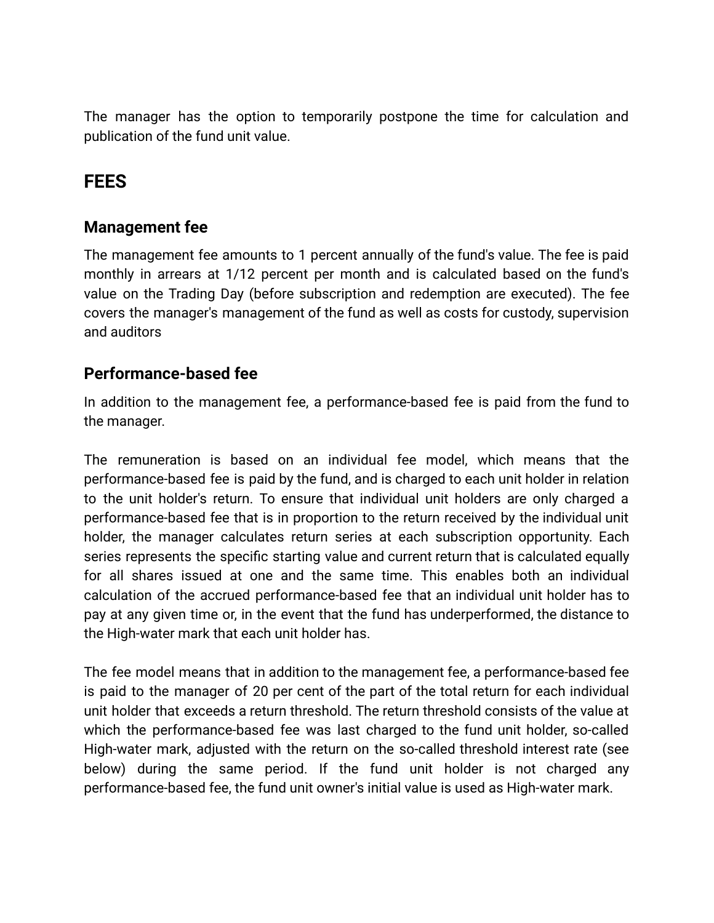The manager has the option to temporarily postpone the time for calculation and publication of the fund unit value.

## **FEES**

### **Management fee**

The management fee amounts to 1 percent annually of the fund's value. The fee is paid monthly in arrears at 1/12 percent per month and is calculated based on the fund's value on the Trading Day (before subscription and redemption are executed). The fee covers the manager's management of the fund as well as costs for custody, supervision and auditors

### **Performance-based fee**

In addition to the management fee, a performance-based fee is paid from the fund to the manager.

The remuneration is based on an individual fee model, which means that the performance-based fee is paid by the fund, and is charged to each unit holder in relation to the unit holder's return. To ensure that individual unit holders are only charged a performance-based fee that is in proportion to the return received by the individual unit holder, the manager calculates return series at each subscription opportunity. Each series represents the specific starting value and current return that is calculated equally for all shares issued at one and the same time. This enables both an individual calculation of the accrued performance-based fee that an individual unit holder has to pay at any given time or, in the event that the fund has underperformed, the distance to the High-water mark that each unit holder has.

The fee model means that in addition to the management fee, a performance-based fee is paid to the manager of 20 per cent of the part of the total return for each individual unit holder that exceeds a return threshold. The return threshold consists of the value at which the performance-based fee was last charged to the fund unit holder, so-called High-water mark, adjusted with the return on the so-called threshold interest rate (see below) during the same period. If the fund unit holder is not charged any performance-based fee, the fund unit owner's initial value is used as High-water mark.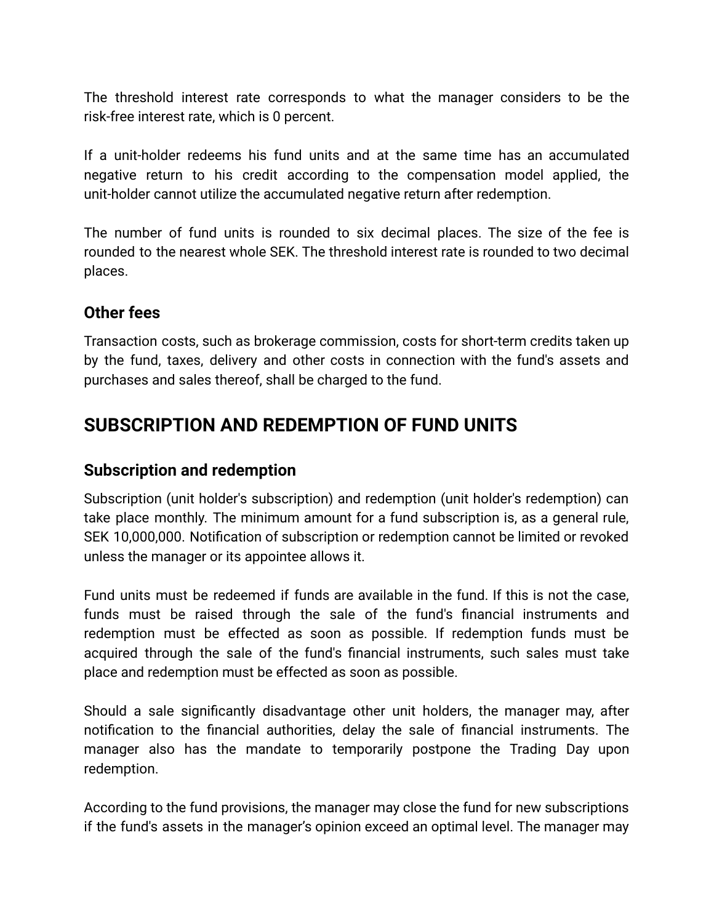The threshold interest rate corresponds to what the manager considers to be the risk-free interest rate, which is 0 percent.

If a unit-holder redeems his fund units and at the same time has an accumulated negative return to his credit according to the compensation model applied, the unit-holder cannot utilize the accumulated negative return after redemption.

The number of fund units is rounded to six decimal places. The size of the fee is rounded to the nearest whole SEK. The threshold interest rate is rounded to two decimal places.

### **Other fees**

Transaction costs, such as brokerage commission, costs for short-term credits taken up by the fund, taxes, delivery and other costs in connection with the fund's assets and purchases and sales thereof, shall be charged to the fund.

## **SUBSCRIPTION AND REDEMPTION OF FUND UNITS**

### **Subscription and redemption**

Subscription (unit holder's subscription) and redemption (unit holder's redemption) can take place monthly. The minimum amount for a fund subscription is, as a general rule, SEK 10,000,000. Notification of subscription or redemption cannot be limited or revoked unless the manager or its appointee allows it.

Fund units must be redeemed if funds are available in the fund. If this is not the case, funds must be raised through the sale of the fund's financial instruments and redemption must be effected as soon as possible. If redemption funds must be acquired through the sale of the fund's financial instruments, such sales must take place and redemption must be effected as soon as possible.

Should a sale significantly disadvantage other unit holders, the manager may, after notification to the financial authorities, delay the sale of financial instruments. The manager also has the mandate to temporarily postpone the Trading Day upon redemption.

According to the fund provisions, the manager may close the fund for new subscriptions if the fund's assets in the manager's opinion exceed an optimal level. The manager may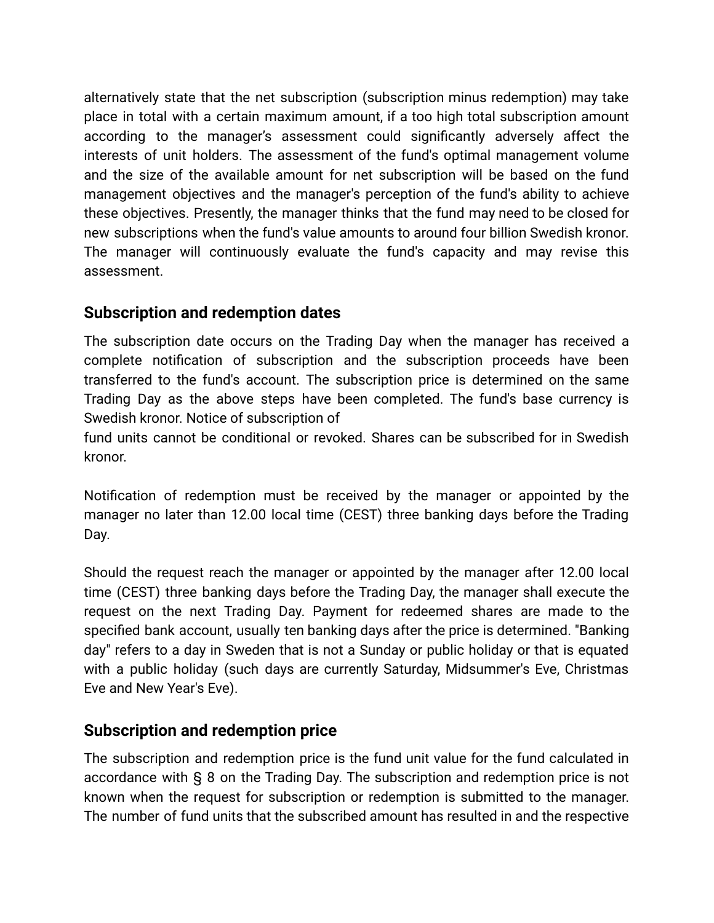alternatively state that the net subscription (subscription minus redemption) may take place in total with a certain maximum amount, if a too high total subscription amount according to the manager's assessment could significantly adversely affect the interests of unit holders. The assessment of the fund's optimal management volume and the size of the available amount for net subscription will be based on the fund management objectives and the manager's perception of the fund's ability to achieve these objectives. Presently, the manager thinks that the fund may need to be closed for new subscriptions when the fund's value amounts to around four billion Swedish kronor. The manager will continuously evaluate the fund's capacity and may revise this assessment.

### **Subscription and redemption dates**

The subscription date occurs on the Trading Day when the manager has received a complete notification of subscription and the subscription proceeds have been transferred to the fund's account. The subscription price is determined on the same Trading Day as the above steps have been completed. The fund's base currency is Swedish kronor. Notice of subscription of

fund units cannot be conditional or revoked. Shares can be subscribed for in Swedish kronor.

Notification of redemption must be received by the manager or appointed by the manager no later than 12.00 local time (CEST) three banking days before the Trading Day.

Should the request reach the manager or appointed by the manager after 12.00 local time (CEST) three banking days before the Trading Day, the manager shall execute the request on the next Trading Day. Payment for redeemed shares are made to the specified bank account, usually ten banking days after the price is determined. "Banking day" refers to a day in Sweden that is not a Sunday or public holiday or that is equated with a public holiday (such days are currently Saturday, Midsummer's Eve, Christmas Eve and New Year's Eve).

### **Subscription and redemption price**

The subscription and redemption price is the fund unit value for the fund calculated in accordance with § 8 on the Trading Day. The subscription and redemption price is not known when the request for subscription or redemption is submitted to the manager. The number of fund units that the subscribed amount has resulted in and the respective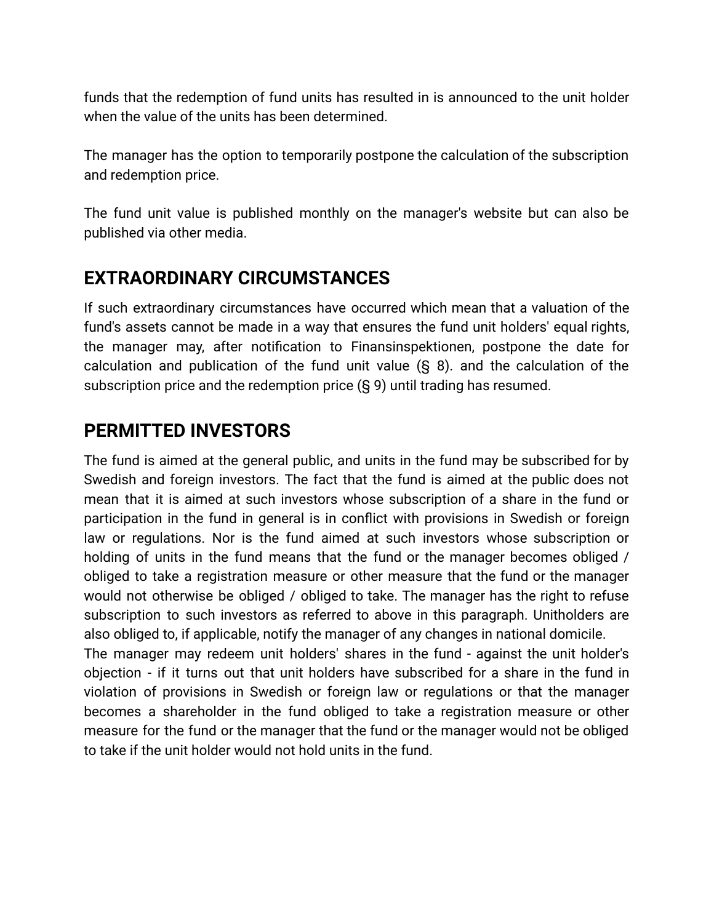funds that the redemption of fund units has resulted in is announced to the unit holder when the value of the units has been determined.

The manager has the option to temporarily postpone the calculation of the subscription and redemption price.

The fund unit value is published monthly on the manager's website but can also be published via other media.

# **EXTRAORDINARY CIRCUMSTANCES**

If such extraordinary circumstances have occurred which mean that a valuation of the fund's assets cannot be made in a way that ensures the fund unit holders' equal rights, the manager may, after notification to Finansinspektionen, postpone the date for calculation and publication of the fund unit value (§ 8). and the calculation of the subscription price and the redemption price (§ 9) until trading has resumed.

# **PERMITTED INVESTORS**

The fund is aimed at the general public, and units in the fund may be subscribed for by Swedish and foreign investors. The fact that the fund is aimed at the public does not mean that it is aimed at such investors whose subscription of a share in the fund or participation in the fund in general is in conflict with provisions in Swedish or foreign law or regulations. Nor is the fund aimed at such investors whose subscription or holding of units in the fund means that the fund or the manager becomes obliged / obliged to take a registration measure or other measure that the fund or the manager would not otherwise be obliged / obliged to take. The manager has the right to refuse subscription to such investors as referred to above in this paragraph. Unitholders are also obliged to, if applicable, notify the manager of any changes in national domicile.

The manager may redeem unit holders' shares in the fund - against the unit holder's objection - if it turns out that unit holders have subscribed for a share in the fund in violation of provisions in Swedish or foreign law or regulations or that the manager becomes a shareholder in the fund obliged to take a registration measure or other measure for the fund or the manager that the fund or the manager would not be obliged to take if the unit holder would not hold units in the fund.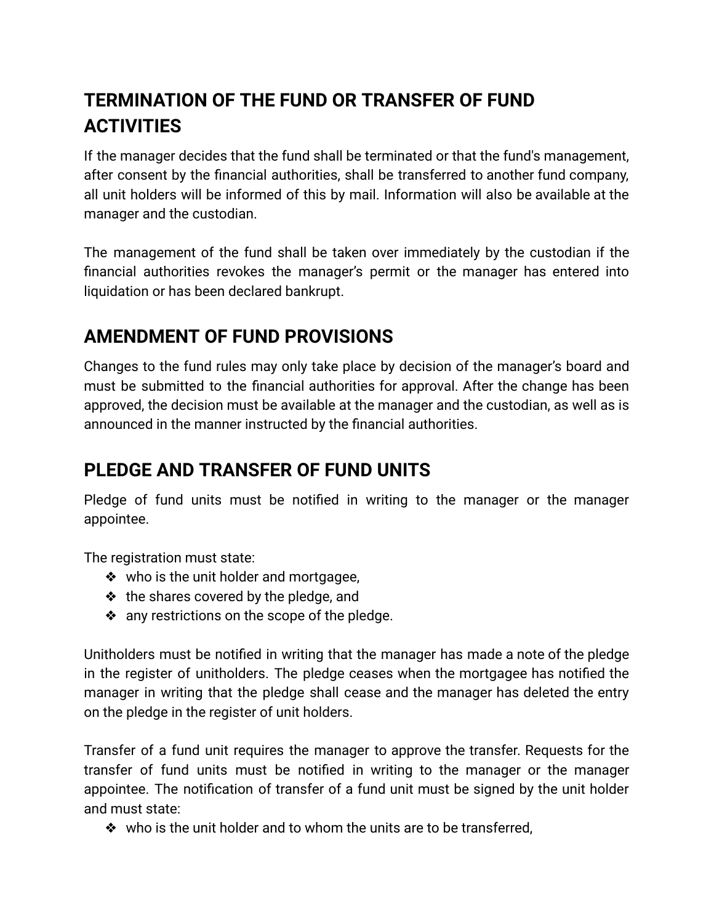# **TERMINATION OF THE FUND OR TRANSFER OF FUND ACTIVITIES**

If the manager decides that the fund shall be terminated or that the fund's management, after consent by the financial authorities, shall be transferred to another fund company, all unit holders will be informed of this by mail. Information will also be available at the manager and the custodian.

The management of the fund shall be taken over immediately by the custodian if the financial authorities revokes the manager's permit or the manager has entered into liquidation or has been declared bankrupt.

# **AMENDMENT OF FUND PROVISIONS**

Changes to the fund rules may only take place by decision of the manager's board and must be submitted to the financial authorities for approval. After the change has been approved, the decision must be available at the manager and the custodian, as well as is announced in the manner instructed by the financial authorities.

# **PLEDGE AND TRANSFER OF FUND UNITS**

Pledge of fund units must be notified in writing to the manager or the manager appointee.

The registration must state:

- ❖ who is the unit holder and mortgagee,
- ❖ the shares covered by the pledge, and
- ❖ any restrictions on the scope of the pledge.

Unitholders must be notified in writing that the manager has made a note of the pledge in the register of unitholders. The pledge ceases when the mortgagee has notified the manager in writing that the pledge shall cease and the manager has deleted the entry on the pledge in the register of unit holders.

Transfer of a fund unit requires the manager to approve the transfer. Requests for the transfer of fund units must be notified in writing to the manager or the manager appointee. The notification of transfer of a fund unit must be signed by the unit holder and must state:

❖ who is the unit holder and to whom the units are to be transferred,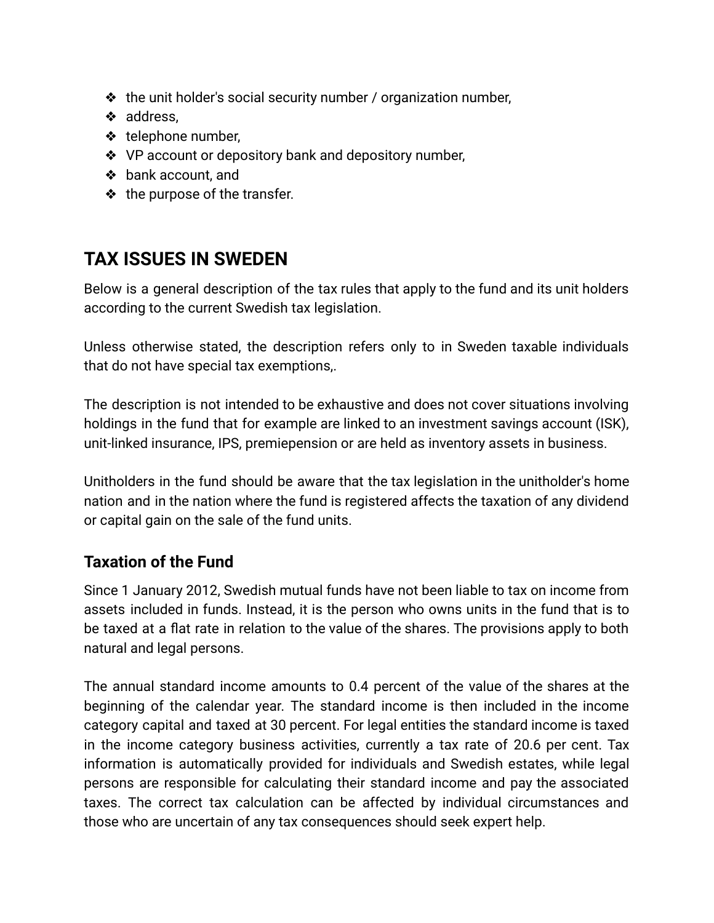- ❖ the unit holder's social security number / organization number,
- ❖ address,
- ❖ telephone number,
- ❖ VP account or depository bank and depository number,
- ❖ bank account, and
- ❖ the purpose of the transfer.

# **TAX ISSUES IN SWEDEN**

Below is a general description of the tax rules that apply to the fund and its unit holders according to the current Swedish tax legislation.

Unless otherwise stated, the description refers only to in Sweden taxable individuals that do not have special tax exemptions,.

The description is not intended to be exhaustive and does not cover situations involving holdings in the fund that for example are linked to an investment savings account (ISK), unit-linked insurance, IPS, premiepension or are held as inventory assets in business.

Unitholders in the fund should be aware that the tax legislation in the unitholder's home nation and in the nation where the fund is registered affects the taxation of any dividend or capital gain on the sale of the fund units.

## **Taxation of the Fund**

Since 1 January 2012, Swedish mutual funds have not been liable to tax on income from assets included in funds. Instead, it is the person who owns units in the fund that is to be taxed at a flat rate in relation to the value of the shares. The provisions apply to both natural and legal persons.

The annual standard income amounts to 0.4 percent of the value of the shares at the beginning of the calendar year. The standard income is then included in the income category capital and taxed at 30 percent. For legal entities the standard income is taxed in the income category business activities, currently a tax rate of 20.6 per cent. Tax information is automatically provided for individuals and Swedish estates, while legal persons are responsible for calculating their standard income and pay the associated taxes. The correct tax calculation can be affected by individual circumstances and those who are uncertain of any tax consequences should seek expert help.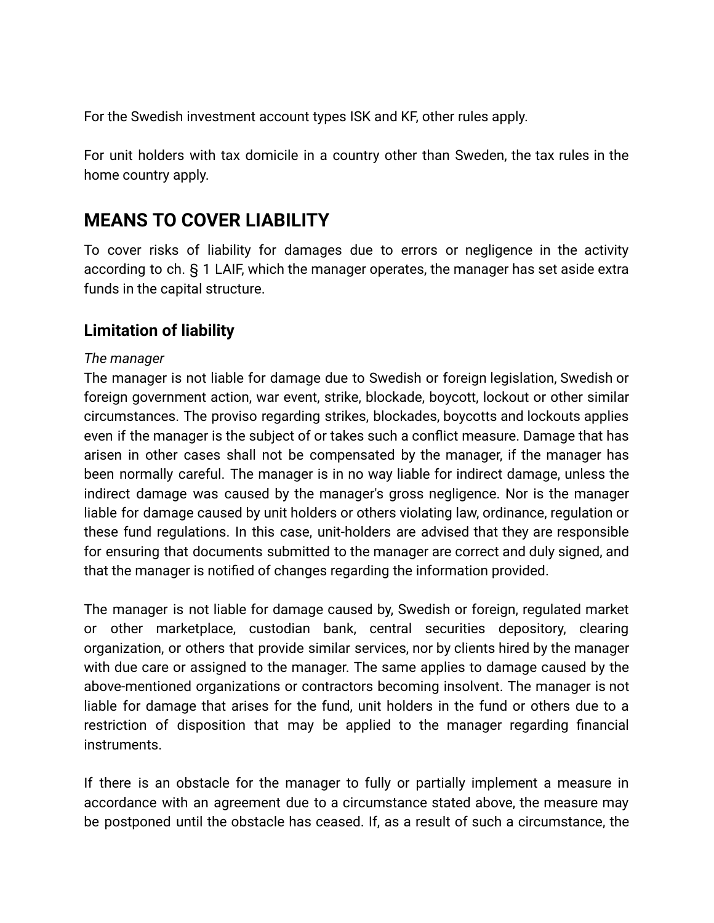For the Swedish investment account types ISK and KF, other rules apply.

For unit holders with tax domicile in a country other than Sweden, the tax rules in the home country apply.

## **MEANS TO COVER LIABILITY**

To cover risks of liability for damages due to errors or negligence in the activity according to ch. § 1 LAIF, which the manager operates, the manager has set aside extra funds in the capital structure.

### **Limitation of liability**

#### *The manager*

The manager is not liable for damage due to Swedish or foreign legislation, Swedish or foreign government action, war event, strike, blockade, boycott, lockout or other similar circumstances. The proviso regarding strikes, blockades, boycotts and lockouts applies even if the manager is the subject of or takes such a conflict measure. Damage that has arisen in other cases shall not be compensated by the manager, if the manager has been normally careful. The manager is in no way liable for indirect damage, unless the indirect damage was caused by the manager's gross negligence. Nor is the manager liable for damage caused by unit holders or others violating law, ordinance, regulation or these fund regulations. In this case, unit-holders are advised that they are responsible for ensuring that documents submitted to the manager are correct and duly signed, and that the manager is notified of changes regarding the information provided.

The manager is not liable for damage caused by, Swedish or foreign, regulated market or other marketplace, custodian bank, central securities depository, clearing organization, or others that provide similar services, nor by clients hired by the manager with due care or assigned to the manager. The same applies to damage caused by the above-mentioned organizations or contractors becoming insolvent. The manager is not liable for damage that arises for the fund, unit holders in the fund or others due to a restriction of disposition that may be applied to the manager regarding financial instruments.

If there is an obstacle for the manager to fully or partially implement a measure in accordance with an agreement due to a circumstance stated above, the measure may be postponed until the obstacle has ceased. If, as a result of such a circumstance, the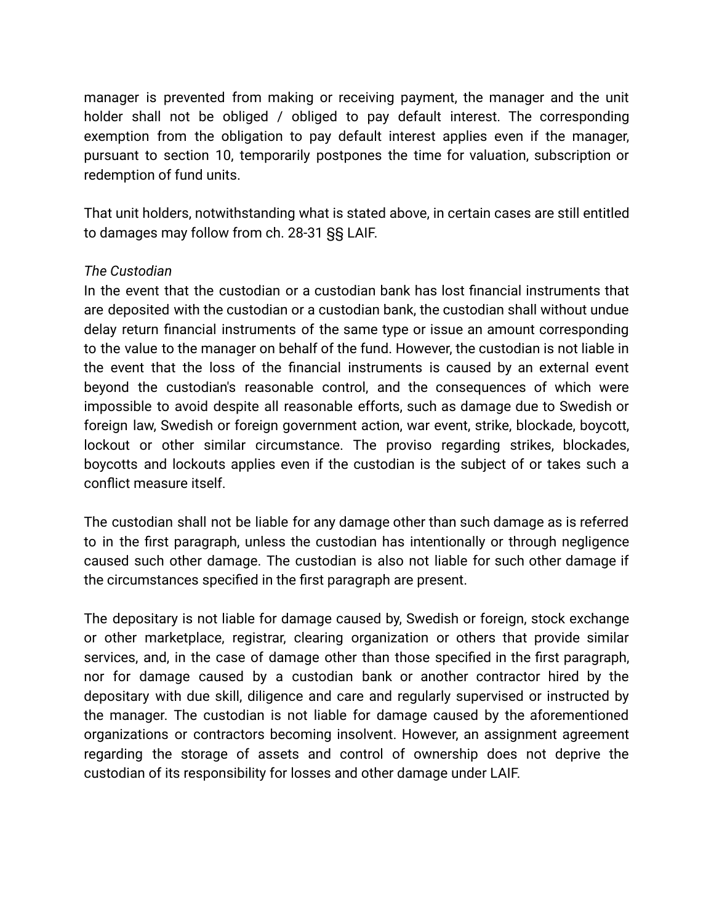manager is prevented from making or receiving payment, the manager and the unit holder shall not be obliged / obliged to pay default interest. The corresponding exemption from the obligation to pay default interest applies even if the manager, pursuant to section 10, temporarily postpones the time for valuation, subscription or redemption of fund units.

That unit holders, notwithstanding what is stated above, in certain cases are still entitled to damages may follow from ch. 28-31 §§ LAIF.

#### *The Custodian*

In the event that the custodian or a custodian bank has lost financial instruments that are deposited with the custodian or a custodian bank, the custodian shall without undue delay return financial instruments of the same type or issue an amount corresponding to the value to the manager on behalf of the fund. However, the custodian is not liable in the event that the loss of the financial instruments is caused by an external event beyond the custodian's reasonable control, and the consequences of which were impossible to avoid despite all reasonable efforts, such as damage due to Swedish or foreign law, Swedish or foreign government action, war event, strike, blockade, boycott, lockout or other similar circumstance. The proviso regarding strikes, blockades, boycotts and lockouts applies even if the custodian is the subject of or takes such a conflict measure itself.

The custodian shall not be liable for any damage other than such damage as is referred to in the first paragraph, unless the custodian has intentionally or through negligence caused such other damage. The custodian is also not liable for such other damage if the circumstances specified in the first paragraph are present.

The depositary is not liable for damage caused by, Swedish or foreign, stock exchange or other marketplace, registrar, clearing organization or others that provide similar services, and, in the case of damage other than those specified in the first paragraph, nor for damage caused by a custodian bank or another contractor hired by the depositary with due skill, diligence and care and regularly supervised or instructed by the manager. The custodian is not liable for damage caused by the aforementioned organizations or contractors becoming insolvent. However, an assignment agreement regarding the storage of assets and control of ownership does not deprive the custodian of its responsibility for losses and other damage under LAIF.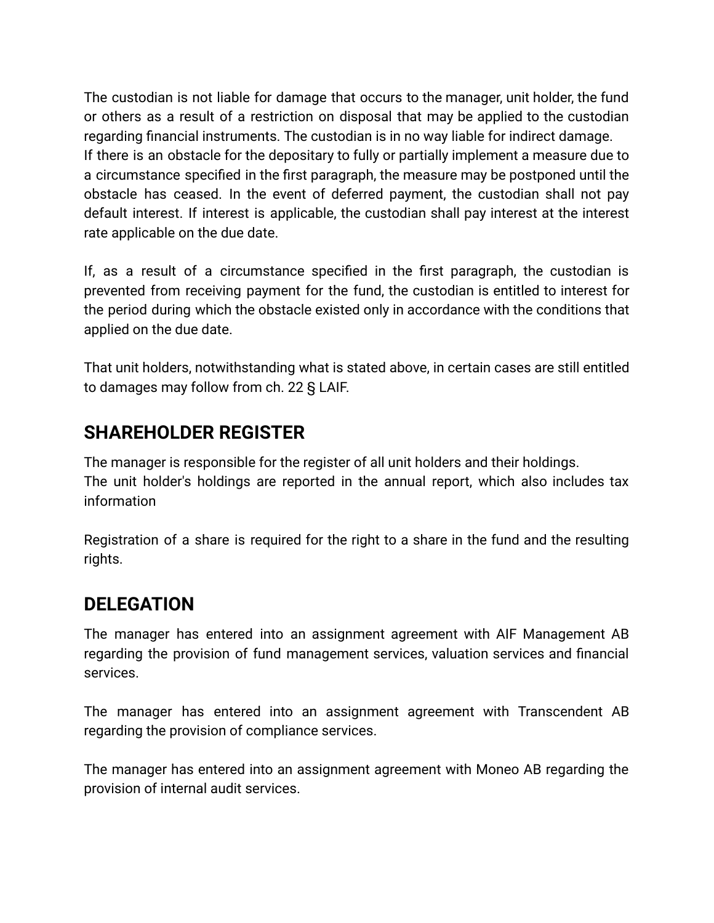The custodian is not liable for damage that occurs to the manager, unit holder, the fund or others as a result of a restriction on disposal that may be applied to the custodian regarding financial instruments. The custodian is in no way liable for indirect damage. If there is an obstacle for the depositary to fully or partially implement a measure due to a circumstance specified in the first paragraph, the measure may be postponed until the obstacle has ceased. In the event of deferred payment, the custodian shall not pay default interest. If interest is applicable, the custodian shall pay interest at the interest rate applicable on the due date.

If, as a result of a circumstance specified in the first paragraph, the custodian is prevented from receiving payment for the fund, the custodian is entitled to interest for the period during which the obstacle existed only in accordance with the conditions that applied on the due date.

That unit holders, notwithstanding what is stated above, in certain cases are still entitled to damages may follow from ch. 22 § LAIF.

# **SHAREHOLDER REGISTER**

The manager is responsible for the register of all unit holders and their holdings. The unit holder's holdings are reported in the annual report, which also includes tax information

Registration of a share is required for the right to a share in the fund and the resulting rights.

## **DELEGATION**

The manager has entered into an assignment agreement with AIF Management AB regarding the provision of fund management services, valuation services and financial services.

The manager has entered into an assignment agreement with Transcendent AB regarding the provision of compliance services.

The manager has entered into an assignment agreement with Moneo AB regarding the provision of internal audit services.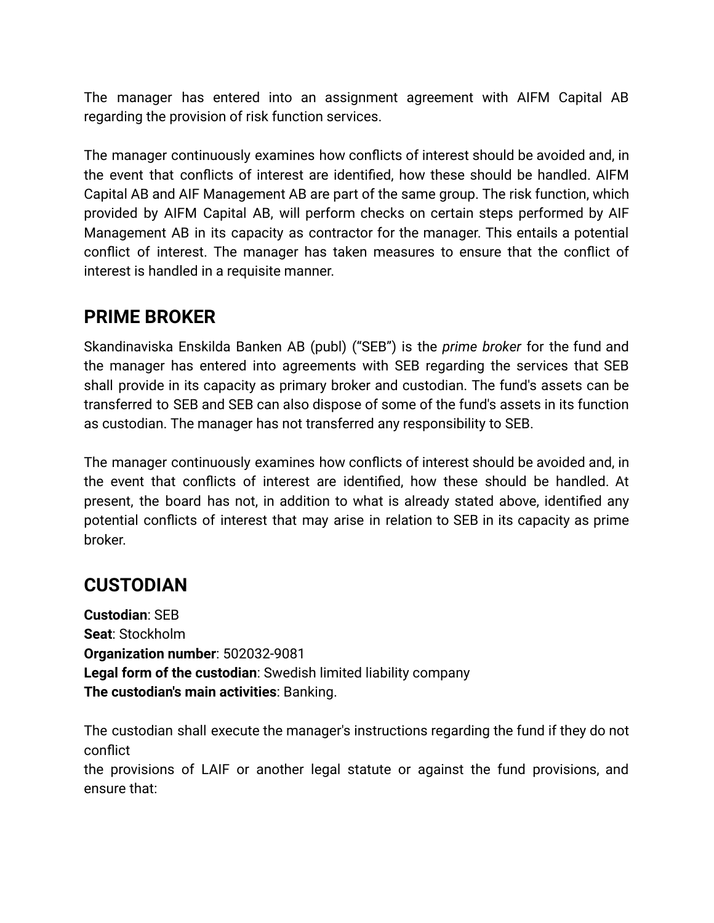The manager has entered into an assignment agreement with AIFM Capital AB regarding the provision of risk function services.

The manager continuously examines how conflicts of interest should be avoided and, in the event that conflicts of interest are identified, how these should be handled. AIFM Capital AB and AIF Management AB are part of the same group. The risk function, which provided by AIFM Capital AB, will perform checks on certain steps performed by AIF Management AB in its capacity as contractor for the manager. This entails a potential conflict of interest. The manager has taken measures to ensure that the conflict of interest is handled in a requisite manner.

## **PRIME BROKER**

Skandinaviska Enskilda Banken AB (publ) ("SEB") is the *prime broker* for the fund and the manager has entered into agreements with SEB regarding the services that SEB shall provide in its capacity as primary broker and custodian. The fund's assets can be transferred to SEB and SEB can also dispose of some of the fund's assets in its function as custodian. The manager has not transferred any responsibility to SEB.

The manager continuously examines how conflicts of interest should be avoided and, in the event that conflicts of interest are identified, how these should be handled. At present, the board has not, in addition to what is already stated above, identified any potential conflicts of interest that may arise in relation to SEB in its capacity as prime broker.

# **CUSTODIAN**

**Custodian**: SEB **Seat**: Stockholm **Organization number**: 502032-9081 **Legal form of the custodian**: Swedish limited liability company **The custodian's main activities**: Banking.

The custodian shall execute the manager's instructions regarding the fund if they do not conflict

the provisions of LAIF or another legal statute or against the fund provisions, and ensure that: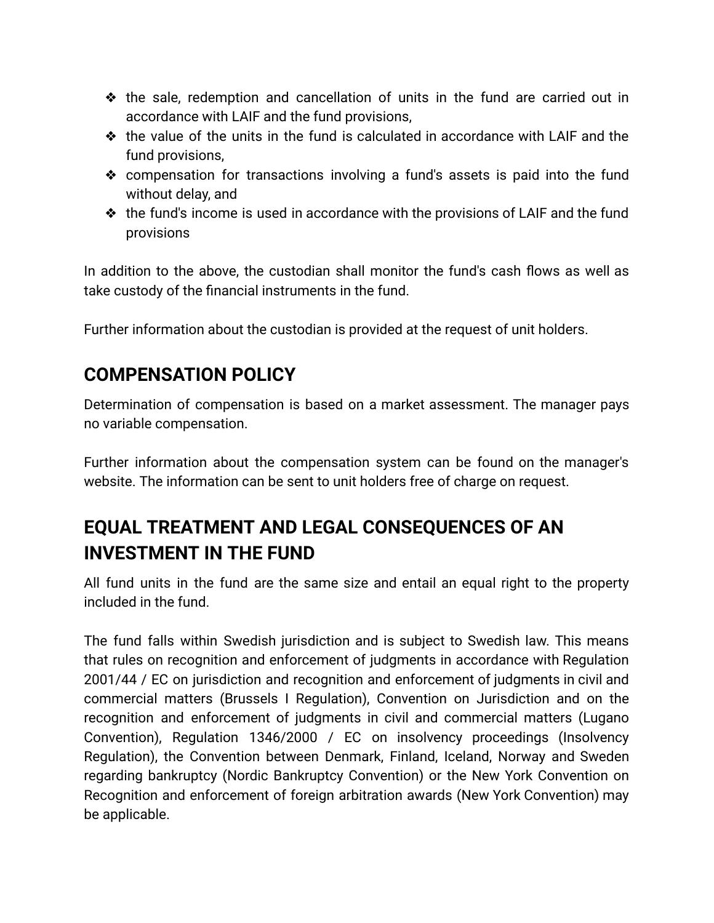- ❖ the sale, redemption and cancellation of units in the fund are carried out in accordance with LAIF and the fund provisions,
- ❖ the value of the units in the fund is calculated in accordance with LAIF and the fund provisions,
- ❖ compensation for transactions involving a fund's assets is paid into the fund without delay, and
- ❖ the fund's income is used in accordance with the provisions of LAIF and the fund provisions

In addition to the above, the custodian shall monitor the fund's cash flows as well as take custody of the financial instruments in the fund.

Further information about the custodian is provided at the request of unit holders.

# **COMPENSATION POLICY**

Determination of compensation is based on a market assessment. The manager pays no variable compensation.

Further information about the compensation system can be found on the manager's website. The information can be sent to unit holders free of charge on request.

# **EQUAL TREATMENT AND LEGAL CONSEQUENCES OF AN INVESTMENT IN THE FUND**

All fund units in the fund are the same size and entail an equal right to the property included in the fund.

The fund falls within Swedish jurisdiction and is subject to Swedish law. This means that rules on recognition and enforcement of judgments in accordance with Regulation 2001/44 / EC on jurisdiction and recognition and enforcement of judgments in civil and commercial matters (Brussels I Regulation), Convention on Jurisdiction and on the recognition and enforcement of judgments in civil and commercial matters (Lugano Convention), Regulation 1346/2000 / EC on insolvency proceedings (Insolvency Regulation), the Convention between Denmark, Finland, Iceland, Norway and Sweden regarding bankruptcy (Nordic Bankruptcy Convention) or the New York Convention on Recognition and enforcement of foreign arbitration awards (New York Convention) may be applicable.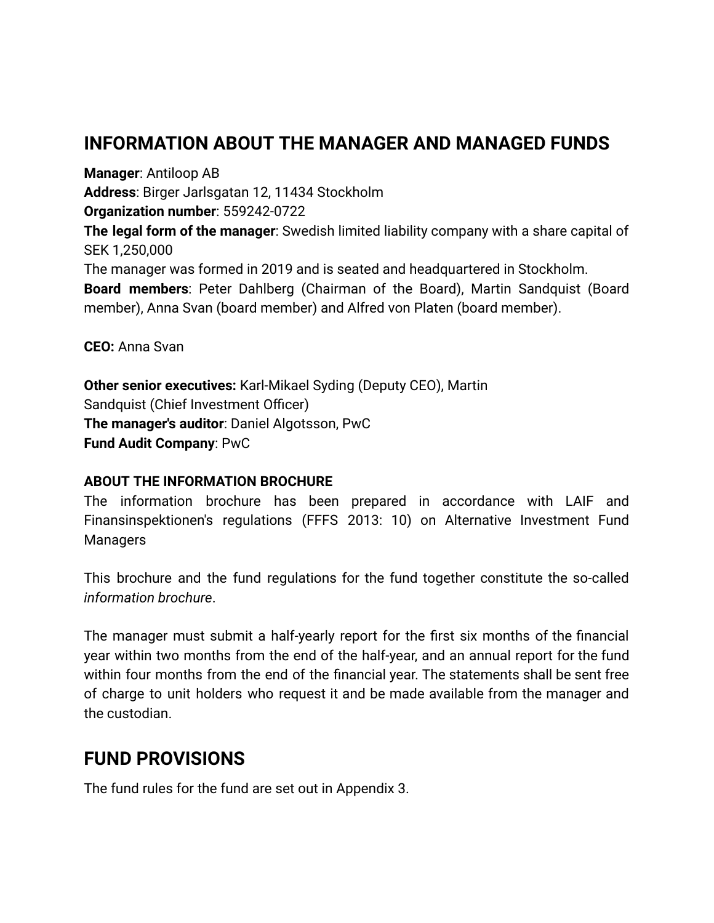# **INFORMATION ABOUT THE MANAGER AND MANAGED FUNDS**

**Manager**: Antiloop AB **Address**: Birger Jarlsgatan 12, 11434 Stockholm **Organization number**: 559242-0722 **The legal form of the manager**: Swedish limited liability company with a share capital of SEK 1,250,000 The manager was formed in 2019 and is seated and headquartered in Stockholm. **Board members**: Peter Dahlberg (Chairman of the Board), Martin Sandquist (Board member), Anna Svan (board member) and Alfred von Platen (board member).

**CEO:** Anna Svan

**Other senior executives:** Karl-Mikael Syding (Deputy CEO), Martin Sandquist (Chief Investment Officer) **The manager's auditor**: Daniel Algotsson, PwC **Fund Audit Company**: PwC

#### **ABOUT THE INFORMATION BROCHURE**

The information brochure has been prepared in accordance with LAIF and Finansinspektionen's regulations (FFFS 2013: 10) on Alternative Investment Fund **Managers** 

This brochure and the fund regulations for the fund together constitute the so-called *information brochure*.

The manager must submit a half-yearly report for the first six months of the financial year within two months from the end of the half-year, and an annual report for the fund within four months from the end of the financial year. The statements shall be sent free of charge to unit holders who request it and be made available from the manager and the custodian.

## **FUND PROVISIONS**

The fund rules for the fund are set out in Appendix 3.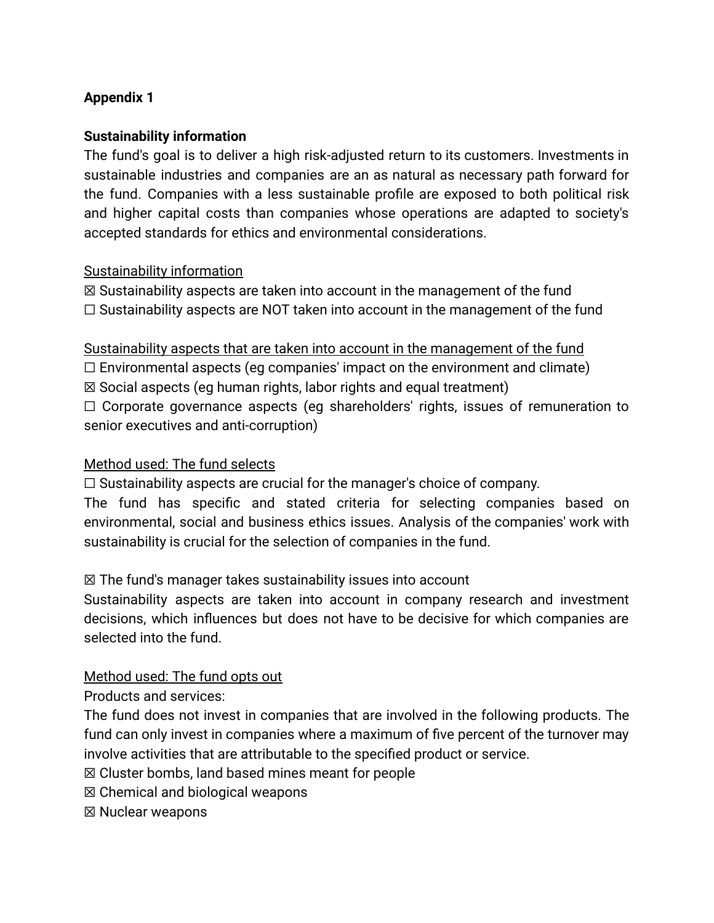### **Appendix 1**

#### **Sustainability information**

The fund's goal is to deliver a high risk-adjusted return to its customers. Investments in sustainable industries and companies are an as natural as necessary path forward for the fund. Companies with a less sustainable profile are exposed to both political risk and higher capital costs than companies whose operations are adapted to society's accepted standards for ethics and environmental considerations.

#### Sustainability information

 $\boxtimes$  Sustainability aspects are taken into account in the management of the fund  $\Box$  Sustainability aspects are NOT taken into account in the management of the fund

Sustainability aspects that are taken into account in the management of the fund  $\Box$  Environmental aspects (eg companies' impact on the environment and climate) ☒ Social aspects (eg human rights, labor rights and equal treatment) ☐ Corporate governance aspects (eg shareholders' rights, issues of remuneration to senior executives and anti-corruption)

#### Method used: The fund selects

 $\Box$  Sustainability aspects are crucial for the manager's choice of company.

The fund has specific and stated criteria for selecting companies based on environmental, social and business ethics issues. Analysis of the companies' work with sustainability is crucial for the selection of companies in the fund.

#### $\boxtimes$  The fund's manager takes sustainability issues into account

Sustainability aspects are taken into account in company research and investment decisions, which influences but does not have to be decisive for which companies are selected into the fund.

#### Method used: The fund opts out

Products and services:

The fund does not invest in companies that are involved in the following products. The fund can only invest in companies where a maximum of five percent of the turnover may involve activities that are attributable to the specified product or service.

☒ Cluster bombs, land based mines meant for people

☒ Chemical and biological weapons

☒ Nuclear weapons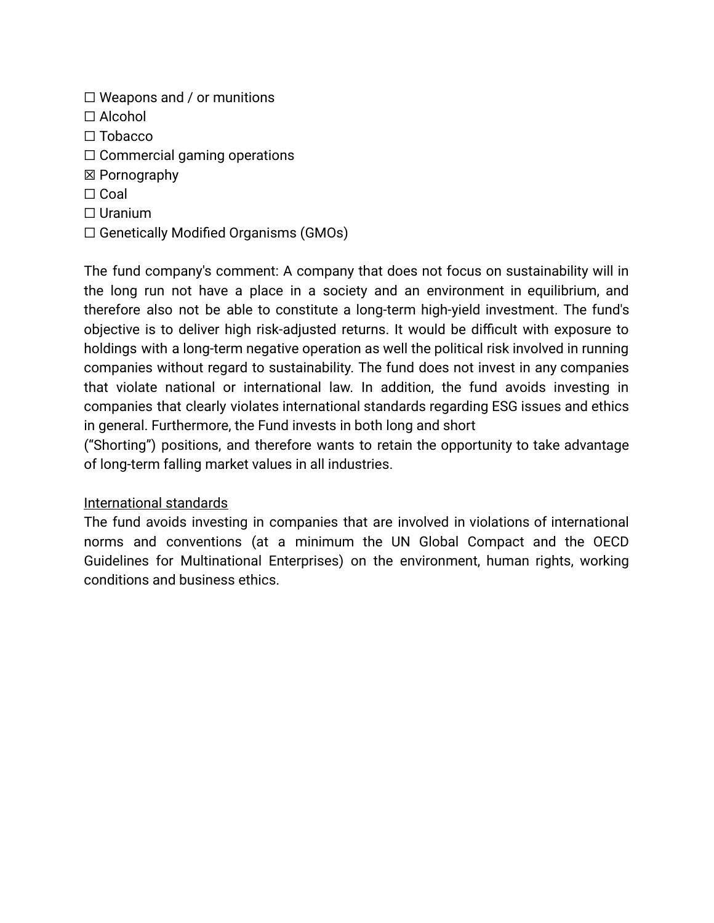- $\Box$  Weapons and / or munitions
- ☐ Alcohol
- ☐ Tobacco
- ☐ Commercial gaming operations
- ☒ Pornography
- ☐ Coal
- ☐ Uranium
- $\Box$  Genetically Modified Organisms (GMOs)

The fund company's comment: A company that does not focus on sustainability will in the long run not have a place in a society and an environment in equilibrium, and therefore also not be able to constitute a long-term high-yield investment. The fund's objective is to deliver high risk-adjusted returns. It would be difficult with exposure to holdings with a long-term negative operation as well the political risk involved in running companies without regard to sustainability. The fund does not invest in any companies that violate national or international law. In addition, the fund avoids investing in companies that clearly violates international standards regarding ESG issues and ethics in general. Furthermore, the Fund invests in both long and short

("Shorting") positions, and therefore wants to retain the opportunity to take advantage of long-term falling market values in all industries.

#### International standards

The fund avoids investing in companies that are involved in violations of international norms and conventions (at a minimum the UN Global Compact and the OECD Guidelines for Multinational Enterprises) on the environment, human rights, working conditions and business ethics.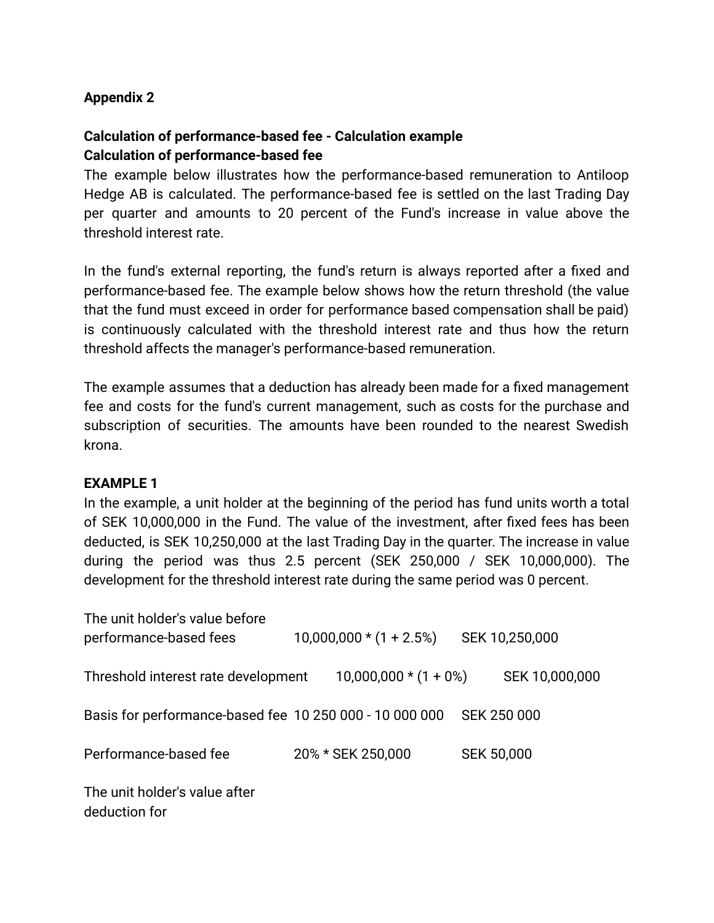#### **Appendix 2**

### **Calculation of performance-based fee - Calculation example Calculation of performance-based fee**

The example below illustrates how the performance-based remuneration to Antiloop Hedge AB is calculated. The performance-based fee is settled on the last Trading Day per quarter and amounts to 20 percent of the Fund's increase in value above the threshold interest rate.

In the fund's external reporting, the fund's return is always reported after a fixed and performance-based fee. The example below shows how the return threshold (the value that the fund must exceed in order for performance based compensation shall be paid) is continuously calculated with the threshold interest rate and thus how the return threshold affects the manager's performance-based remuneration.

The example assumes that a deduction has already been made for a fixed management fee and costs for the fund's current management, such as costs for the purchase and subscription of securities. The amounts have been rounded to the nearest Swedish krona.

#### **EXAMPLE 1**

In the example, a unit holder at the beginning of the period has fund units worth a total of SEK 10,000,000 in the Fund. The value of the investment, after fixed fees has been deducted, is SEK 10,250,000 at the last Trading Day in the quarter. The increase in value during the period was thus 2.5 percent (SEK 250,000 / SEK 10,000,000). The development for the threshold interest rate during the same period was 0 percent.

| The unit holder's value before<br>performance-based fees | $10,000,000*(1 + 2.5%)$ |                   | SEK 10,250,000     |
|----------------------------------------------------------|-------------------------|-------------------|--------------------|
| Threshold interest rate development                      | $10,000,000*(1+0%)$     |                   | SEK 10,000,000     |
| Basis for performance-based fee 10 250 000 - 10 000 000  |                         |                   | <b>SEK 250 000</b> |
| Performance-based fee                                    | 20% * SEK 250,000       | <b>SEK 50,000</b> |                    |
| The unit holder's value after<br>deduction for           |                         |                   |                    |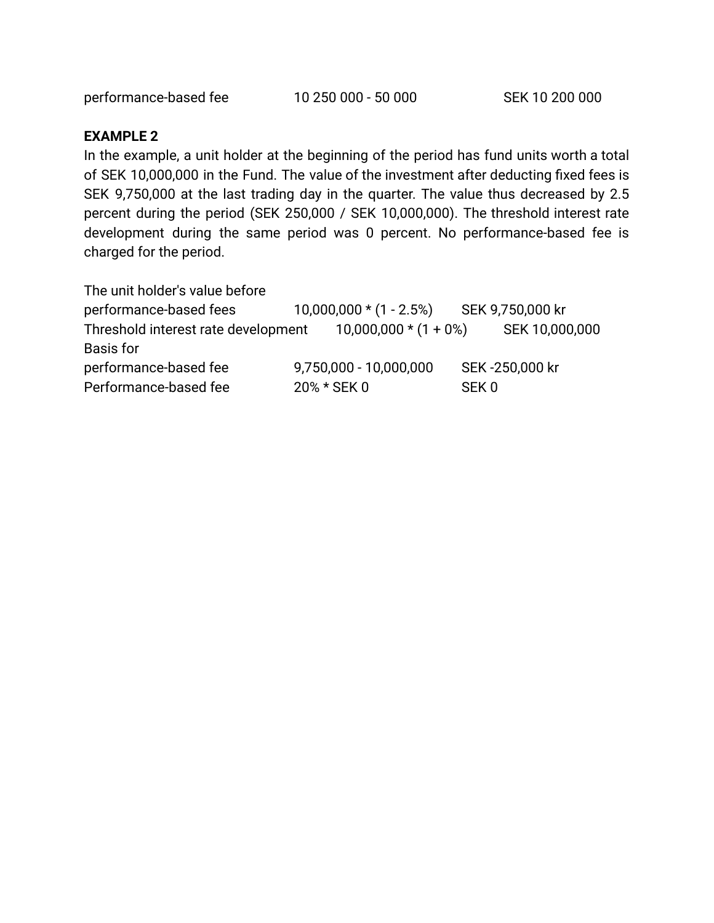performance-based fee 10 250 000 - 50 000 SEK 10 200 000

#### **EXAMPLE 2**

In the example, a unit holder at the beginning of the period has fund units worth a total of SEK 10,000,000 in the Fund. The value of the investment after deducting fixed fees is SEK 9,750,000 at the last trading day in the quarter. The value thus decreased by 2.5 percent during the period (SEK 250,000 / SEK 10,000,000). The threshold interest rate development during the same period was 0 percent. No performance-based fee is charged for the period.

The unit holder's value before

| performance-based fees              |             | 10,000,000 * (1 - 2.5%) SEK 9,750,000 kr |       |                |
|-------------------------------------|-------------|------------------------------------------|-------|----------------|
| Threshold interest rate development |             | $10,000,000*(1+0%)$                      |       | SEK 10,000,000 |
| Basis for                           |             |                                          |       |                |
| performance-based fee               |             | 9,750,000 - 10,000,000                   |       | SEK-250,000 kr |
| Performance-based fee               | 20% * SEK 0 |                                          | SFK 0 |                |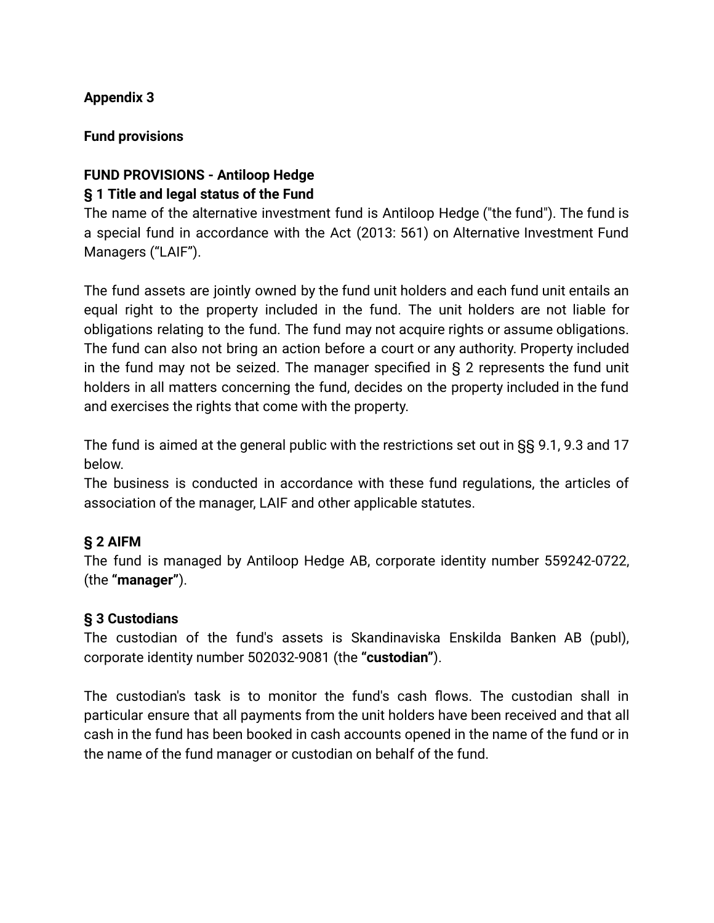### **Appendix 3**

#### **Fund provisions**

### **FUND PROVISIONS - Antiloop Hedge § 1 Title and legal status of the Fund**

The name of the alternative investment fund is Antiloop Hedge ("the fund"). The fund is a special fund in accordance with the Act (2013: 561) on Alternative Investment Fund Managers ("LAIF").

The fund assets are jointly owned by the fund unit holders and each fund unit entails an equal right to the property included in the fund. The unit holders are not liable for obligations relating to the fund. The fund may not acquire rights or assume obligations. The fund can also not bring an action before a court or any authority. Property included in the fund may not be seized. The manager specified in § 2 represents the fund unit holders in all matters concerning the fund, decides on the property included in the fund and exercises the rights that come with the property.

The fund is aimed at the general public with the restrictions set out in §§ 9.1, 9.3 and 17 below.

The business is conducted in accordance with these fund regulations, the articles of association of the manager, LAIF and other applicable statutes.

### **§ 2 AIFM**

The fund is managed by Antiloop Hedge AB, corporate identity number 559242-0722, (the **"manager"**).

#### **§ 3 Custodians**

The custodian of the fund's assets is Skandinaviska Enskilda Banken AB (publ), corporate identity number 502032-9081 (the **"custodian"**).

The custodian's task is to monitor the fund's cash flows. The custodian shall in particular ensure that all payments from the unit holders have been received and that all cash in the fund has been booked in cash accounts opened in the name of the fund or in the name of the fund manager or custodian on behalf of the fund.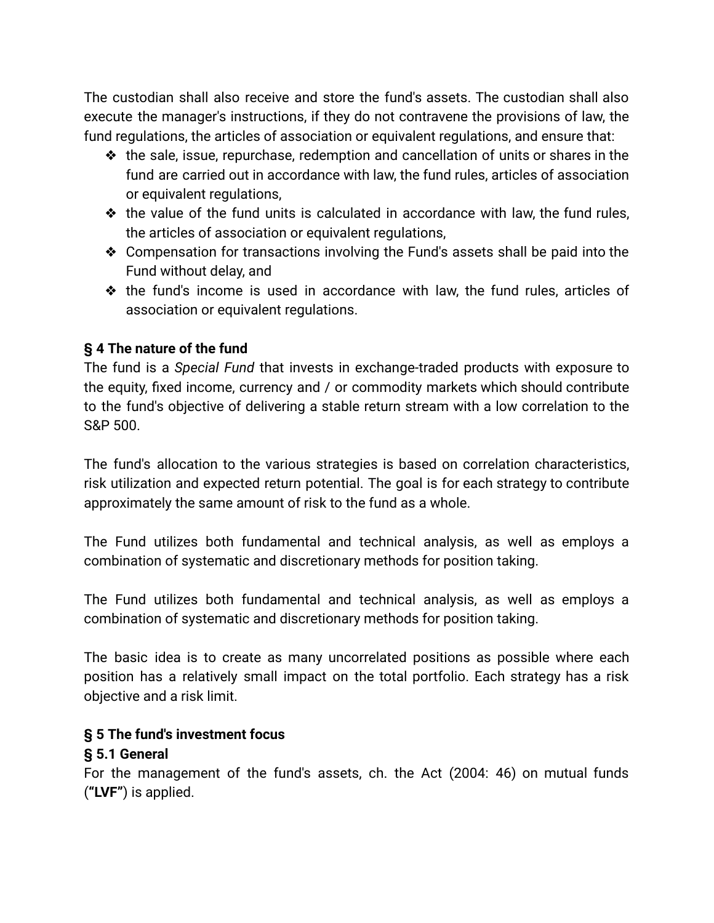The custodian shall also receive and store the fund's assets. The custodian shall also execute the manager's instructions, if they do not contravene the provisions of law, the fund regulations, the articles of association or equivalent regulations, and ensure that:

- $\triangleleft$  the sale, issue, repurchase, redemption and cancellation of units or shares in the fund are carried out in accordance with law, the fund rules, articles of association or equivalent regulations,
- ❖ the value of the fund units is calculated in accordance with law, the fund rules, the articles of association or equivalent regulations,
- ❖ Compensation for transactions involving the Fund's assets shall be paid into the Fund without delay, and
- ❖ the fund's income is used in accordance with law, the fund rules, articles of association or equivalent regulations.

### **§ 4 The nature of the fund**

The fund is a *Special Fund* that invests in exchange-traded products with exposure to the equity, fixed income, currency and / or commodity markets which should contribute to the fund's objective of delivering a stable return stream with a low correlation to the S&P 500.

The fund's allocation to the various strategies is based on correlation characteristics, risk utilization and expected return potential. The goal is for each strategy to contribute approximately the same amount of risk to the fund as a whole.

The Fund utilizes both fundamental and technical analysis, as well as employs a combination of systematic and discretionary methods for position taking.

The Fund utilizes both fundamental and technical analysis, as well as employs a combination of systematic and discretionary methods for position taking.

The basic idea is to create as many uncorrelated positions as possible where each position has a relatively small impact on the total portfolio. Each strategy has a risk objective and a risk limit.

### **§ 5 The fund's investment focus**

### **§ 5.1 General**

For the management of the fund's assets, ch. the Act (2004: 46) on mutual funds (**"LVF"**) is applied.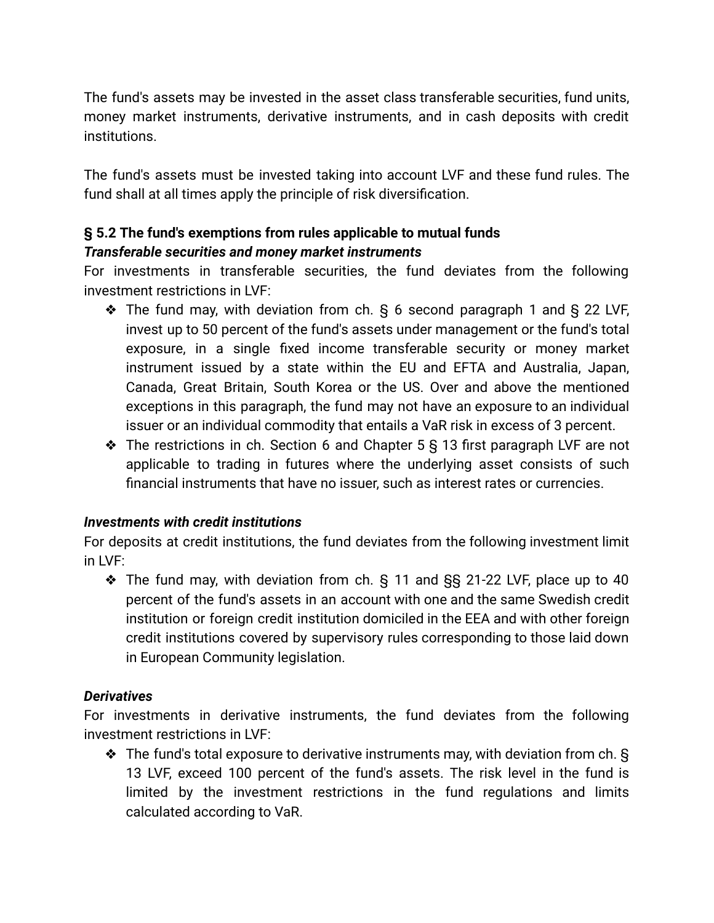The fund's assets may be invested in the asset class transferable securities, fund units, money market instruments, derivative instruments, and in cash deposits with credit institutions.

The fund's assets must be invested taking into account LVF and these fund rules. The fund shall at all times apply the principle of risk diversification.

### **§ 5.2 The fund's exemptions from rules applicable to mutual funds** *Transferable securities and money market instruments*

For investments in transferable securities, the fund deviates from the following investment restrictions in LVF:

- ❖ The fund may, with deviation from ch. § 6 second paragraph 1 and § 22 LVF, invest up to 50 percent of the fund's assets under management or the fund's total exposure, in a single fixed income transferable security or money market instrument issued by a state within the EU and EFTA and Australia, Japan, Canada, Great Britain, South Korea or the US. Over and above the mentioned exceptions in this paragraph, the fund may not have an exposure to an individual issuer or an individual commodity that entails a VaR risk in excess of 3 percent.
- ❖ The restrictions in ch. Section 6 and Chapter 5 § 13 first paragraph LVF are not applicable to trading in futures where the underlying asset consists of such financial instruments that have no issuer, such as interest rates or currencies.

#### *Investments with credit institutions*

For deposits at credit institutions, the fund deviates from the following investment limit in LVF:

❖ The fund may, with deviation from ch. § 11 and §§ 21-22 LVF, place up to 40 percent of the fund's assets in an account with one and the same Swedish credit institution or foreign credit institution domiciled in the EEA and with other foreign credit institutions covered by supervisory rules corresponding to those laid down in European Community legislation.

### *Derivatives*

For investments in derivative instruments, the fund deviates from the following investment restrictions in LVF:

❖ The fund's total exposure to derivative instruments may, with deviation from ch. § 13 LVF, exceed 100 percent of the fund's assets. The risk level in the fund is limited by the investment restrictions in the fund regulations and limits calculated according to VaR.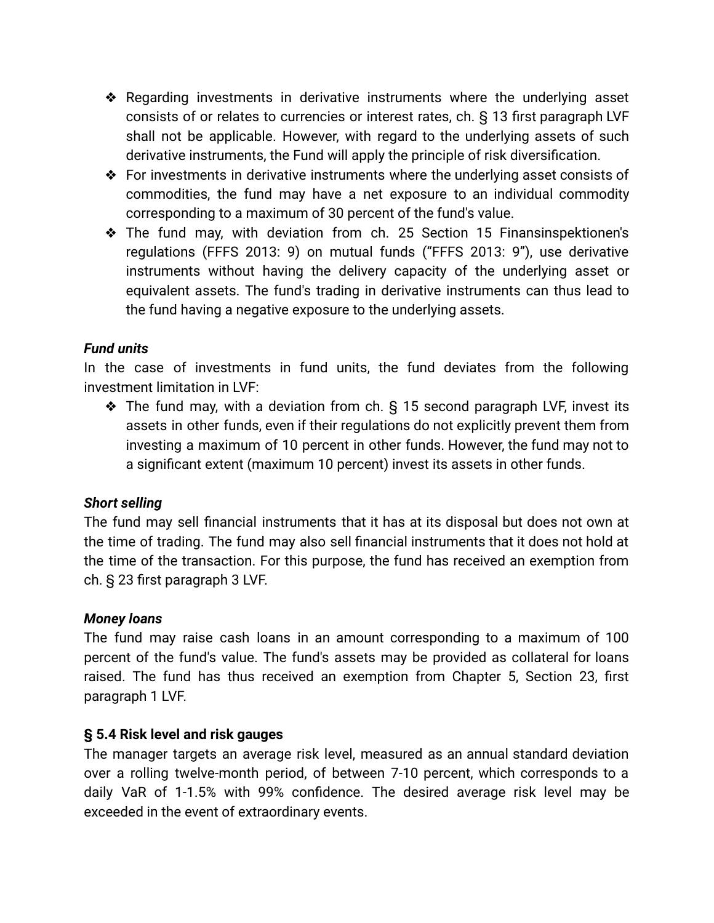- ❖ Regarding investments in derivative instruments where the underlying asset consists of or relates to currencies or interest rates, ch. § 13 first paragraph LVF shall not be applicable. However, with regard to the underlying assets of such derivative instruments, the Fund will apply the principle of risk diversification.
- ❖ For investments in derivative instruments where the underlying asset consists of commodities, the fund may have a net exposure to an individual commodity corresponding to a maximum of 30 percent of the fund's value.
- ❖ The fund may, with deviation from ch. 25 Section 15 Finansinspektionen's regulations (FFFS 2013: 9) on mutual funds ("FFFS 2013: 9"), use derivative instruments without having the delivery capacity of the underlying asset or equivalent assets. The fund's trading in derivative instruments can thus lead to the fund having a negative exposure to the underlying assets.

#### *Fund units*

In the case of investments in fund units, the fund deviates from the following investment limitation in LVF:

❖ The fund may, with a deviation from ch. § 15 second paragraph LVF, invest its assets in other funds, even if their regulations do not explicitly prevent them from investing a maximum of 10 percent in other funds. However, the fund may not to a significant extent (maximum 10 percent) invest its assets in other funds.

#### *Short selling*

The fund may sell financial instruments that it has at its disposal but does not own at the time of trading. The fund may also sell financial instruments that it does not hold at the time of the transaction. For this purpose, the fund has received an exemption from ch. § 23 first paragraph 3 LVF.

#### *Money loans*

The fund may raise cash loans in an amount corresponding to a maximum of 100 percent of the fund's value. The fund's assets may be provided as collateral for loans raised. The fund has thus received an exemption from Chapter 5, Section 23, first paragraph 1 LVF.

#### **§ 5.4 Risk level and risk gauges**

The manager targets an average risk level, measured as an annual standard deviation over a rolling twelve-month period, of between 7-10 percent, which corresponds to a daily VaR of 1-1.5% with 99% confidence. The desired average risk level may be exceeded in the event of extraordinary events.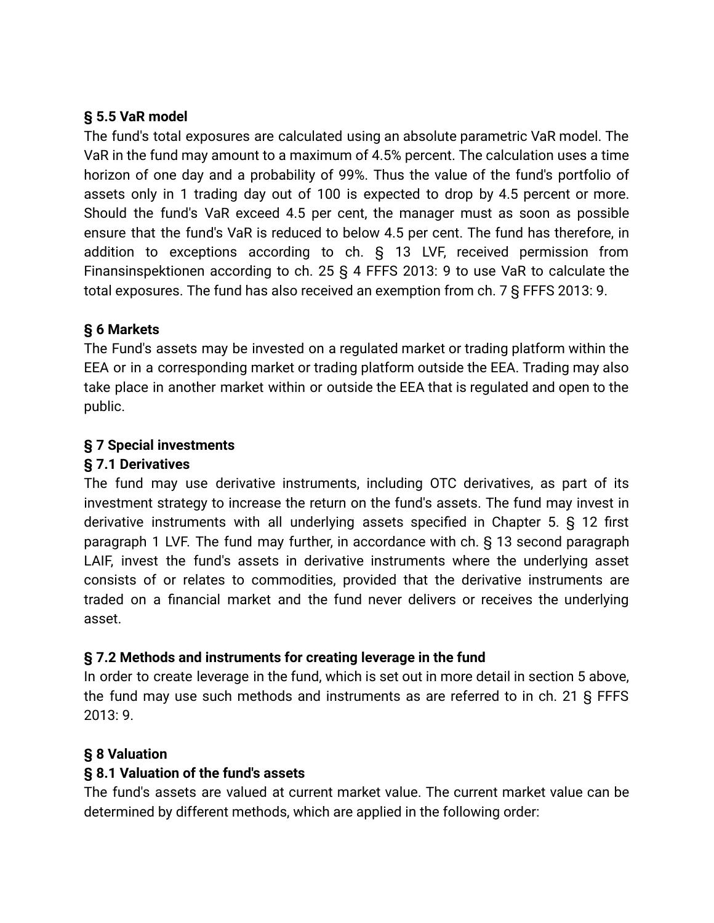### **§ 5.5 VaR model**

The fund's total exposures are calculated using an absolute parametric VaR model. The VaR in the fund may amount to a maximum of 4.5% percent. The calculation uses a time horizon of one day and a probability of 99%. Thus the value of the fund's portfolio of assets only in 1 trading day out of 100 is expected to drop by 4.5 percent or more. Should the fund's VaR exceed 4.5 per cent, the manager must as soon as possible ensure that the fund's VaR is reduced to below 4.5 per cent. The fund has therefore, in addition to exceptions according to ch. § 13 LVF, received permission from Finansinspektionen according to ch. 25 § 4 FFFS 2013: 9 to use VaR to calculate the total exposures. The fund has also received an exemption from ch. 7 § FFFS 2013: 9.

### **§ 6 Markets**

The Fund's assets may be invested on a regulated market or trading platform within the EEA or in a corresponding market or trading platform outside the EEA. Trading may also take place in another market within or outside the EEA that is regulated and open to the public.

### **§ 7 Special investments**

### **§ 7.1 Derivatives**

The fund may use derivative instruments, including OTC derivatives, as part of its investment strategy to increase the return on the fund's assets. The fund may invest in derivative instruments with all underlying assets specified in Chapter 5. § 12 first paragraph 1 LVF. The fund may further, in accordance with ch. § 13 second paragraph LAIF, invest the fund's assets in derivative instruments where the underlying asset consists of or relates to commodities, provided that the derivative instruments are traded on a financial market and the fund never delivers or receives the underlying asset.

### **§ 7.2 Methods and instruments for creating leverage in the fund**

In order to create leverage in the fund, which is set out in more detail in section 5 above, the fund may use such methods and instruments as are referred to in ch. 21 § FFFS 2013: 9.

### **§ 8 Valuation**

### **§ 8.1 Valuation of the fund's assets**

The fund's assets are valued at current market value. The current market value can be determined by different methods, which are applied in the following order: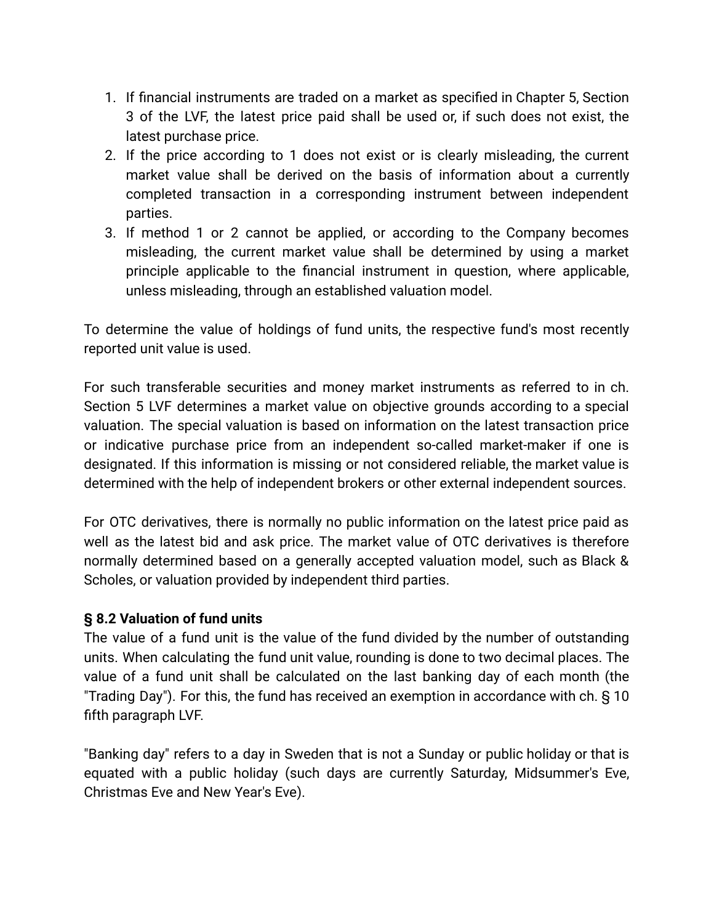- 1. If financial instruments are traded on a market as specified in Chapter 5, Section 3 of the LVF, the latest price paid shall be used or, if such does not exist, the latest purchase price.
- 2. If the price according to 1 does not exist or is clearly misleading, the current market value shall be derived on the basis of information about a currently completed transaction in a corresponding instrument between independent parties.
- 3. If method 1 or 2 cannot be applied, or according to the Company becomes misleading, the current market value shall be determined by using a market principle applicable to the financial instrument in question, where applicable, unless misleading, through an established valuation model.

To determine the value of holdings of fund units, the respective fund's most recently reported unit value is used.

For such transferable securities and money market instruments as referred to in ch. Section 5 LVF determines a market value on objective grounds according to a special valuation. The special valuation is based on information on the latest transaction price or indicative purchase price from an independent so-called market-maker if one is designated. If this information is missing or not considered reliable, the market value is determined with the help of independent brokers or other external independent sources.

For OTC derivatives, there is normally no public information on the latest price paid as well as the latest bid and ask price. The market value of OTC derivatives is therefore normally determined based on a generally accepted valuation model, such as Black & Scholes, or valuation provided by independent third parties.

#### **§ 8.2 Valuation of fund units**

The value of a fund unit is the value of the fund divided by the number of outstanding units. When calculating the fund unit value, rounding is done to two decimal places. The value of a fund unit shall be calculated on the last banking day of each month (the "Trading Day"). For this, the fund has received an exemption in accordance with ch. § 10 fifth paragraph LVF.

"Banking day" refers to a day in Sweden that is not a Sunday or public holiday or that is equated with a public holiday (such days are currently Saturday, Midsummer's Eve, Christmas Eve and New Year's Eve).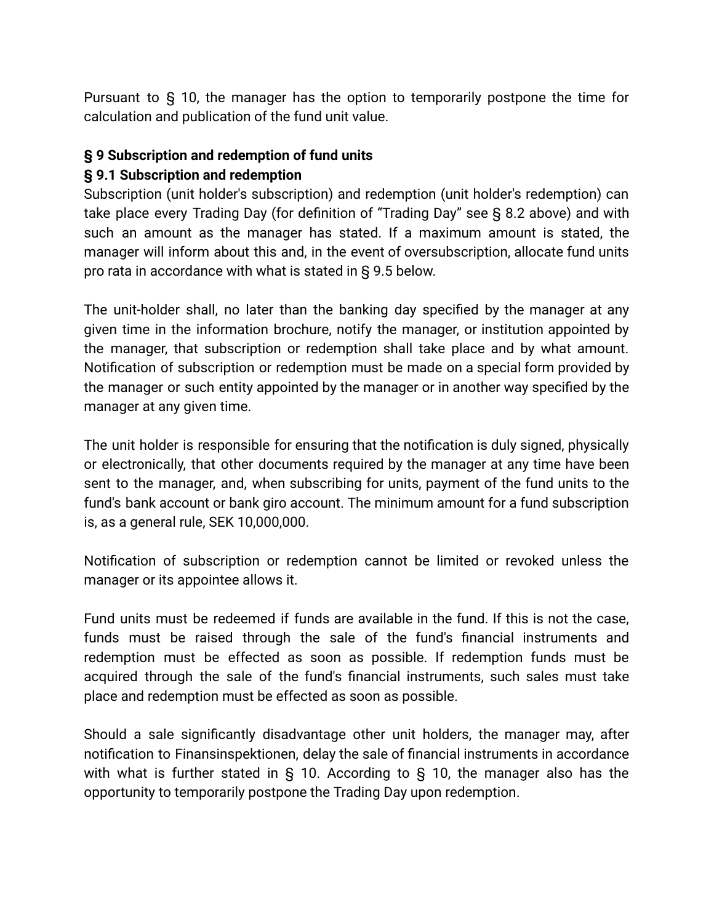Pursuant to § 10, the manager has the option to temporarily postpone the time for calculation and publication of the fund unit value.

### **§ 9 Subscription and redemption of fund units**

### **§ 9.1 Subscription and redemption**

Subscription (unit holder's subscription) and redemption (unit holder's redemption) can take place every Trading Day (for definition of "Trading Day" see § 8.2 above) and with such an amount as the manager has stated. If a maximum amount is stated, the manager will inform about this and, in the event of oversubscription, allocate fund units pro rata in accordance with what is stated in § 9.5 below.

The unit-holder shall, no later than the banking day specified by the manager at any given time in the information brochure, notify the manager, or institution appointed by the manager, that subscription or redemption shall take place and by what amount. Notification of subscription or redemption must be made on a special form provided by the manager or such entity appointed by the manager or in another way specified by the manager at any given time.

The unit holder is responsible for ensuring that the notification is duly signed, physically or electronically, that other documents required by the manager at any time have been sent to the manager, and, when subscribing for units, payment of the fund units to the fund's bank account or bank giro account. The minimum amount for a fund subscription is, as a general rule, SEK 10,000,000.

Notification of subscription or redemption cannot be limited or revoked unless the manager or its appointee allows it.

Fund units must be redeemed if funds are available in the fund. If this is not the case, funds must be raised through the sale of the fund's financial instruments and redemption must be effected as soon as possible. If redemption funds must be acquired through the sale of the fund's financial instruments, such sales must take place and redemption must be effected as soon as possible.

Should a sale significantly disadvantage other unit holders, the manager may, after notification to Finansinspektionen, delay the sale of financial instruments in accordance with what is further stated in § 10. According to § 10, the manager also has the opportunity to temporarily postpone the Trading Day upon redemption.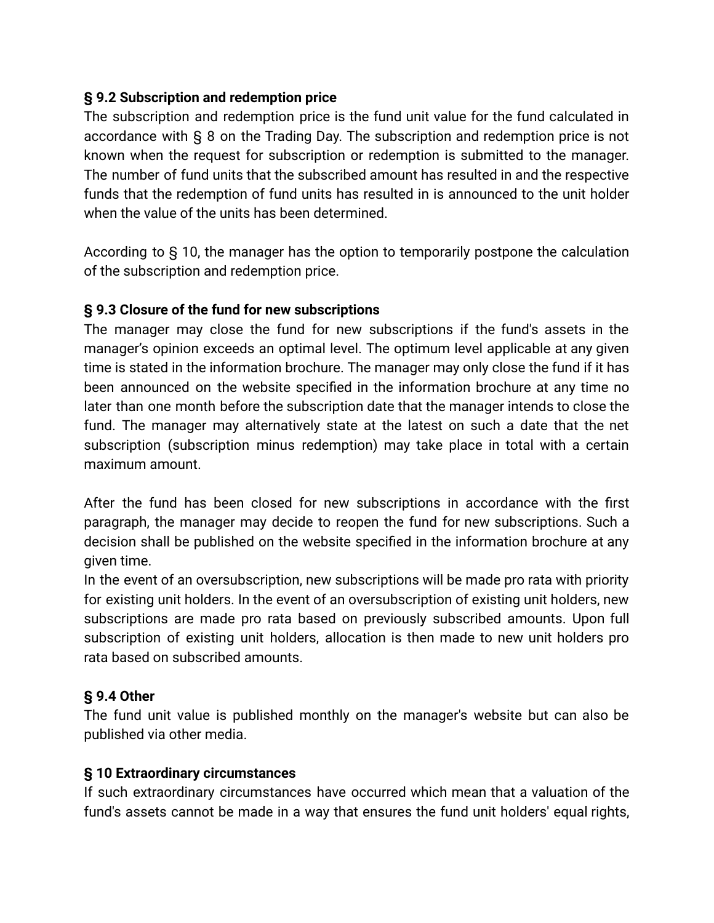### **§ 9.2 Subscription and redemption price**

The subscription and redemption price is the fund unit value for the fund calculated in accordance with § 8 on the Trading Day. The subscription and redemption price is not known when the request for subscription or redemption is submitted to the manager. The number of fund units that the subscribed amount has resulted in and the respective funds that the redemption of fund units has resulted in is announced to the unit holder when the value of the units has been determined.

According to § 10, the manager has the option to temporarily postpone the calculation of the subscription and redemption price.

### **§ 9.3 Closure of the fund for new subscriptions**

The manager may close the fund for new subscriptions if the fund's assets in the manager's opinion exceeds an optimal level. The optimum level applicable at any given time is stated in the information brochure. The manager may only close the fund if it has been announced on the website specified in the information brochure at any time no later than one month before the subscription date that the manager intends to close the fund. The manager may alternatively state at the latest on such a date that the net subscription (subscription minus redemption) may take place in total with a certain maximum amount.

After the fund has been closed for new subscriptions in accordance with the first paragraph, the manager may decide to reopen the fund for new subscriptions. Such a decision shall be published on the website specified in the information brochure at any given time.

In the event of an oversubscription, new subscriptions will be made pro rata with priority for existing unit holders. In the event of an oversubscription of existing unit holders, new subscriptions are made pro rata based on previously subscribed amounts. Upon full subscription of existing unit holders, allocation is then made to new unit holders pro rata based on subscribed amounts.

### **§ 9.4 Other**

The fund unit value is published monthly on the manager's website but can also be published via other media.

#### **§ 10 Extraordinary circumstances**

If such extraordinary circumstances have occurred which mean that a valuation of the fund's assets cannot be made in a way that ensures the fund unit holders' equal rights,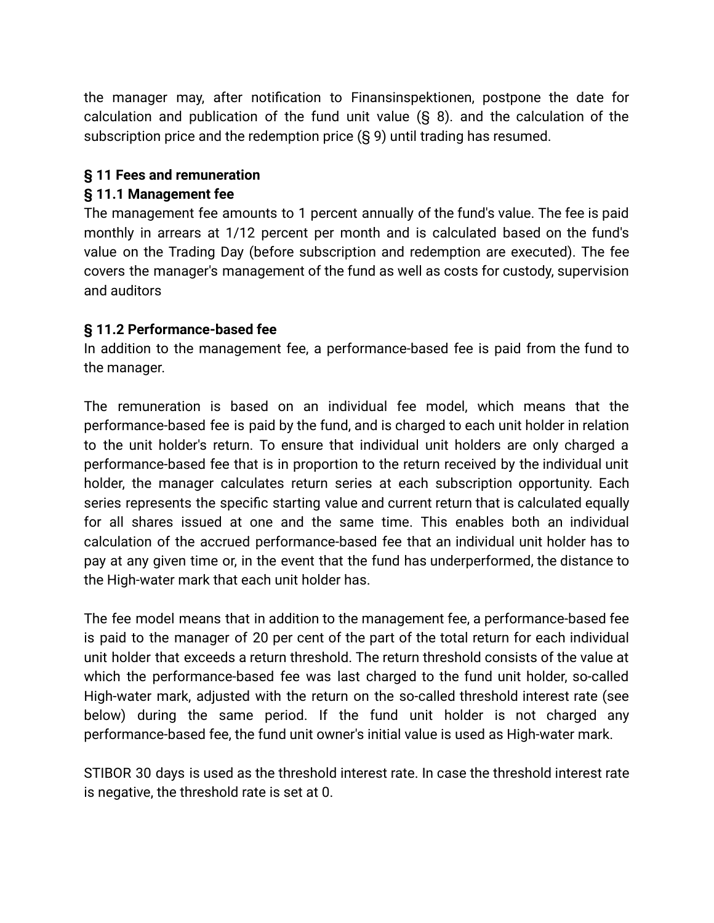the manager may, after notification to Finansinspektionen, postpone the date for calculation and publication of the fund unit value (§ 8). and the calculation of the subscription price and the redemption price (§ 9) until trading has resumed.

### **§ 11 Fees and remuneration**

### **§ 11.1 Management fee**

The management fee amounts to 1 percent annually of the fund's value. The fee is paid monthly in arrears at 1/12 percent per month and is calculated based on the fund's value on the Trading Day (before subscription and redemption are executed). The fee covers the manager's management of the fund as well as costs for custody, supervision and auditors

#### **§ 11.2 Performance-based fee**

In addition to the management fee, a performance-based fee is paid from the fund to the manager.

The remuneration is based on an individual fee model, which means that the performance-based fee is paid by the fund, and is charged to each unit holder in relation to the unit holder's return. To ensure that individual unit holders are only charged a performance-based fee that is in proportion to the return received by the individual unit holder, the manager calculates return series at each subscription opportunity. Each series represents the specific starting value and current return that is calculated equally for all shares issued at one and the same time. This enables both an individual calculation of the accrued performance-based fee that an individual unit holder has to pay at any given time or, in the event that the fund has underperformed, the distance to the High-water mark that each unit holder has.

The fee model means that in addition to the management fee, a performance-based fee is paid to the manager of 20 per cent of the part of the total return for each individual unit holder that exceeds a return threshold. The return threshold consists of the value at which the performance-based fee was last charged to the fund unit holder, so-called High-water mark, adjusted with the return on the so-called threshold interest rate (see below) during the same period. If the fund unit holder is not charged any performance-based fee, the fund unit owner's initial value is used as High-water mark.

STIBOR 30 days is used as the threshold interest rate. In case the threshold interest rate is negative, the threshold rate is set at 0.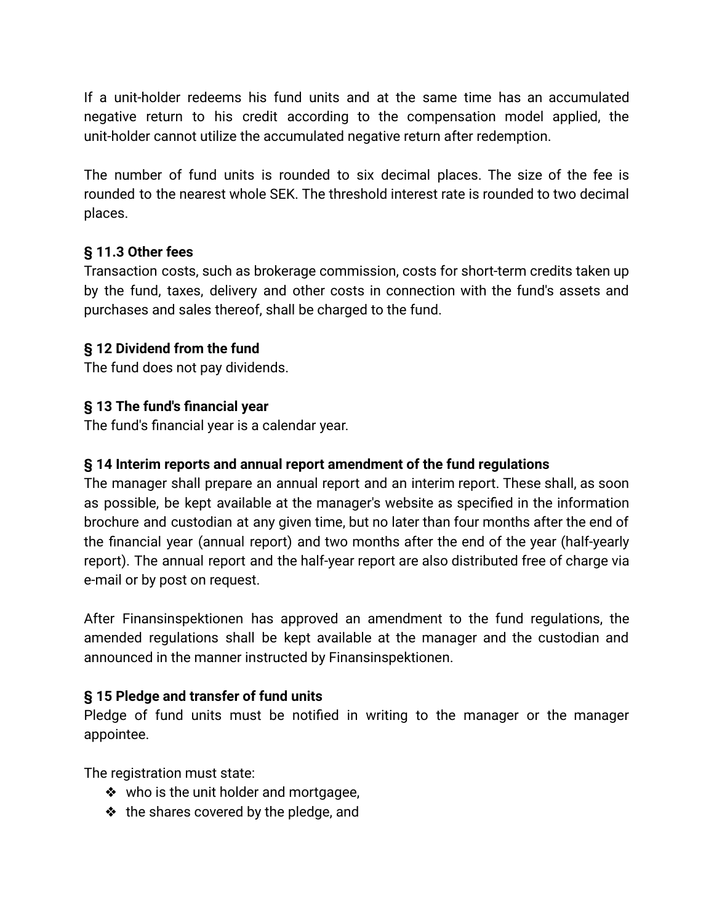If a unit-holder redeems his fund units and at the same time has an accumulated negative return to his credit according to the compensation model applied, the unit-holder cannot utilize the accumulated negative return after redemption.

The number of fund units is rounded to six decimal places. The size of the fee is rounded to the nearest whole SEK. The threshold interest rate is rounded to two decimal places.

### **§ 11.3 Other fees**

Transaction costs, such as brokerage commission, costs for short-term credits taken up by the fund, taxes, delivery and other costs in connection with the fund's assets and purchases and sales thereof, shall be charged to the fund.

### **§ 12 Dividend from the fund**

The fund does not pay dividends.

### **§ 13 The fund's financial year**

The fund's financial year is a calendar year.

#### **§ 14 Interim reports and annual report amendment of the fund regulations**

The manager shall prepare an annual report and an interim report. These shall, as soon as possible, be kept available at the manager's website as specified in the information brochure and custodian at any given time, but no later than four months after the end of the financial year (annual report) and two months after the end of the year (half-yearly report). The annual report and the half-year report are also distributed free of charge via e-mail or by post on request.

After Finansinspektionen has approved an amendment to the fund regulations, the amended regulations shall be kept available at the manager and the custodian and announced in the manner instructed by Finansinspektionen.

#### **§ 15 Pledge and transfer of fund units**

Pledge of fund units must be notified in writing to the manager or the manager appointee.

The registration must state:

- ❖ who is the unit holder and mortgagee,
- ❖ the shares covered by the pledge, and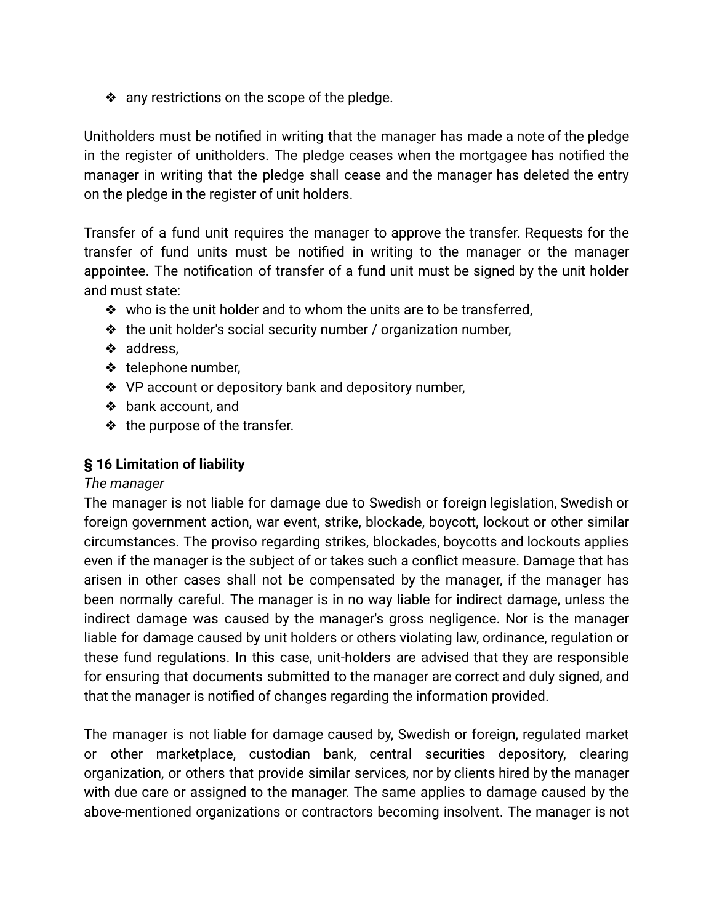❖ any restrictions on the scope of the pledge.

Unitholders must be notified in writing that the manager has made a note of the pledge in the register of unitholders. The pledge ceases when the mortgagee has notified the manager in writing that the pledge shall cease and the manager has deleted the entry on the pledge in the register of unit holders.

Transfer of a fund unit requires the manager to approve the transfer. Requests for the transfer of fund units must be notified in writing to the manager or the manager appointee. The notification of transfer of a fund unit must be signed by the unit holder and must state:

- ❖ who is the unit holder and to whom the units are to be transferred,
- ❖ the unit holder's social security number / organization number,
- ❖ address,
- ❖ telephone number,
- ❖ VP account or depository bank and depository number,
- ❖ bank account, and
- ❖ the purpose of the transfer.

#### **§ 16 Limitation of liability**

#### *The manager*

The manager is not liable for damage due to Swedish or foreign legislation, Swedish or foreign government action, war event, strike, blockade, boycott, lockout or other similar circumstances. The proviso regarding strikes, blockades, boycotts and lockouts applies even if the manager is the subject of or takes such a conflict measure. Damage that has arisen in other cases shall not be compensated by the manager, if the manager has been normally careful. The manager is in no way liable for indirect damage, unless the indirect damage was caused by the manager's gross negligence. Nor is the manager liable for damage caused by unit holders or others violating law, ordinance, regulation or these fund regulations. In this case, unit-holders are advised that they are responsible for ensuring that documents submitted to the manager are correct and duly signed, and that the manager is notified of changes regarding the information provided.

The manager is not liable for damage caused by, Swedish or foreign, regulated market or other marketplace, custodian bank, central securities depository, clearing organization, or others that provide similar services, nor by clients hired by the manager with due care or assigned to the manager. The same applies to damage caused by the above-mentioned organizations or contractors becoming insolvent. The manager is not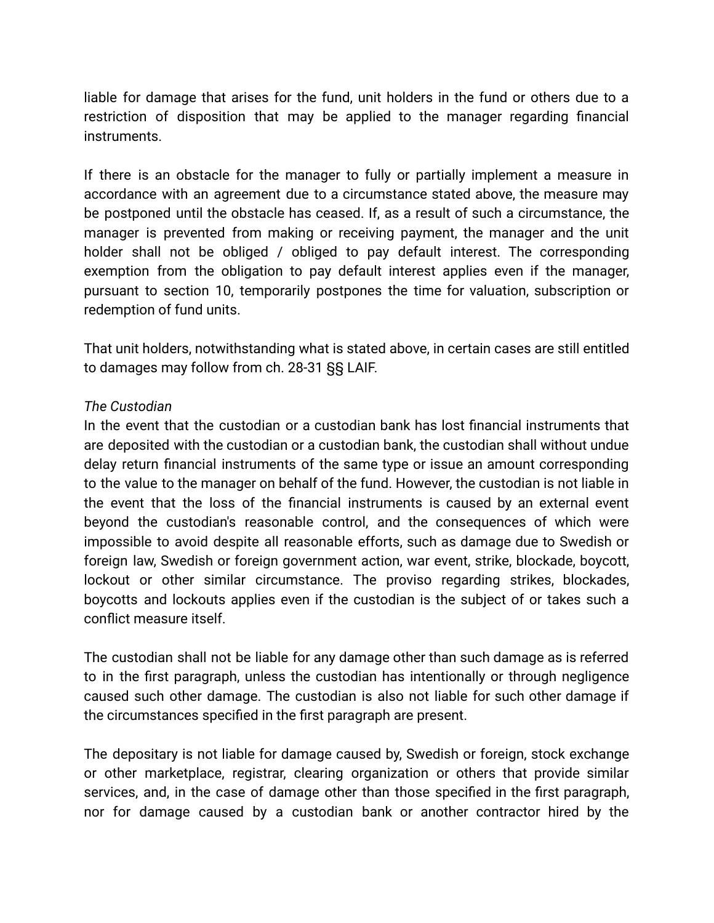liable for damage that arises for the fund, unit holders in the fund or others due to a restriction of disposition that may be applied to the manager regarding financial instruments.

If there is an obstacle for the manager to fully or partially implement a measure in accordance with an agreement due to a circumstance stated above, the measure may be postponed until the obstacle has ceased. If, as a result of such a circumstance, the manager is prevented from making or receiving payment, the manager and the unit holder shall not be obliged / obliged to pay default interest. The corresponding exemption from the obligation to pay default interest applies even if the manager, pursuant to section 10, temporarily postpones the time for valuation, subscription or redemption of fund units.

That unit holders, notwithstanding what is stated above, in certain cases are still entitled to damages may follow from ch. 28-31 §§ LAIF.

#### *The Custodian*

In the event that the custodian or a custodian bank has lost financial instruments that are deposited with the custodian or a custodian bank, the custodian shall without undue delay return financial instruments of the same type or issue an amount corresponding to the value to the manager on behalf of the fund. However, the custodian is not liable in the event that the loss of the financial instruments is caused by an external event beyond the custodian's reasonable control, and the consequences of which were impossible to avoid despite all reasonable efforts, such as damage due to Swedish or foreign law, Swedish or foreign government action, war event, strike, blockade, boycott, lockout or other similar circumstance. The proviso regarding strikes, blockades, boycotts and lockouts applies even if the custodian is the subject of or takes such a conflict measure itself.

The custodian shall not be liable for any damage other than such damage as is referred to in the first paragraph, unless the custodian has intentionally or through negligence caused such other damage. The custodian is also not liable for such other damage if the circumstances specified in the first paragraph are present.

The depositary is not liable for damage caused by, Swedish or foreign, stock exchange or other marketplace, registrar, clearing organization or others that provide similar services, and, in the case of damage other than those specified in the first paragraph, nor for damage caused by a custodian bank or another contractor hired by the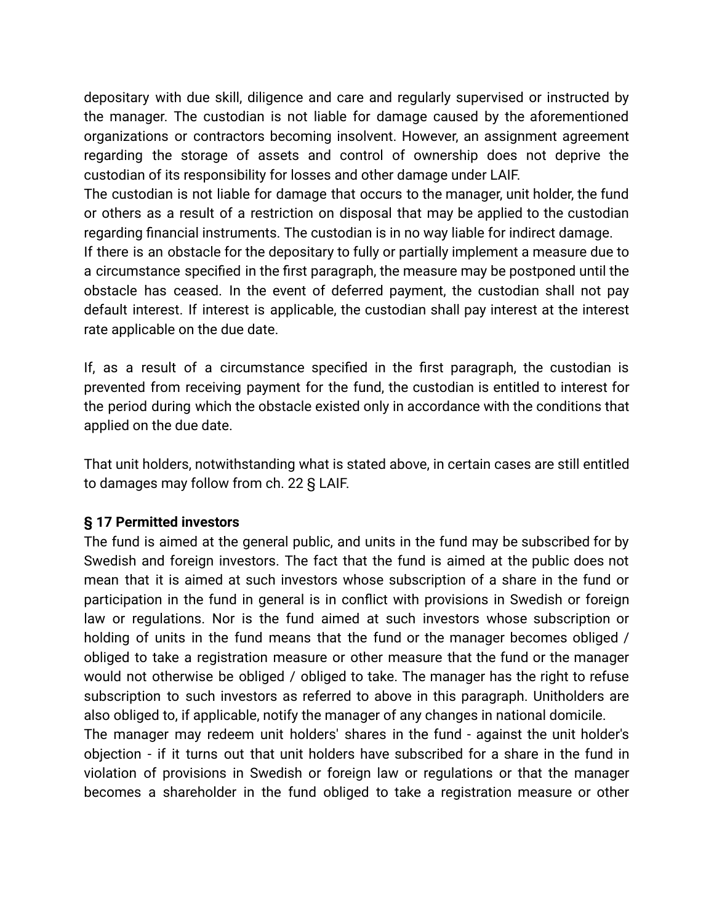depositary with due skill, diligence and care and regularly supervised or instructed by the manager. The custodian is not liable for damage caused by the aforementioned organizations or contractors becoming insolvent. However, an assignment agreement regarding the storage of assets and control of ownership does not deprive the custodian of its responsibility for losses and other damage under LAIF.

The custodian is not liable for damage that occurs to the manager, unit holder, the fund or others as a result of a restriction on disposal that may be applied to the custodian regarding financial instruments. The custodian is in no way liable for indirect damage.

If there is an obstacle for the depositary to fully or partially implement a measure due to a circumstance specified in the first paragraph, the measure may be postponed until the obstacle has ceased. In the event of deferred payment, the custodian shall not pay default interest. If interest is applicable, the custodian shall pay interest at the interest rate applicable on the due date.

If, as a result of a circumstance specified in the first paragraph, the custodian is prevented from receiving payment for the fund, the custodian is entitled to interest for the period during which the obstacle existed only in accordance with the conditions that applied on the due date.

That unit holders, notwithstanding what is stated above, in certain cases are still entitled to damages may follow from ch. 22 § LAIF.

#### **§ 17 Permitted investors**

The fund is aimed at the general public, and units in the fund may be subscribed for by Swedish and foreign investors. The fact that the fund is aimed at the public does not mean that it is aimed at such investors whose subscription of a share in the fund or participation in the fund in general is in conflict with provisions in Swedish or foreign law or regulations. Nor is the fund aimed at such investors whose subscription or holding of units in the fund means that the fund or the manager becomes obliged / obliged to take a registration measure or other measure that the fund or the manager would not otherwise be obliged / obliged to take. The manager has the right to refuse subscription to such investors as referred to above in this paragraph. Unitholders are also obliged to, if applicable, notify the manager of any changes in national domicile.

The manager may redeem unit holders' shares in the fund - against the unit holder's objection - if it turns out that unit holders have subscribed for a share in the fund in violation of provisions in Swedish or foreign law or regulations or that the manager becomes a shareholder in the fund obliged to take a registration measure or other